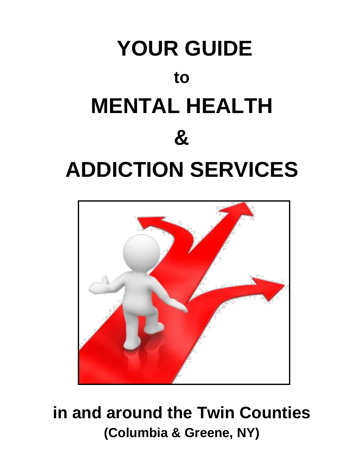



# **in and around the Twin Counties (Columbia & Greene, NY)**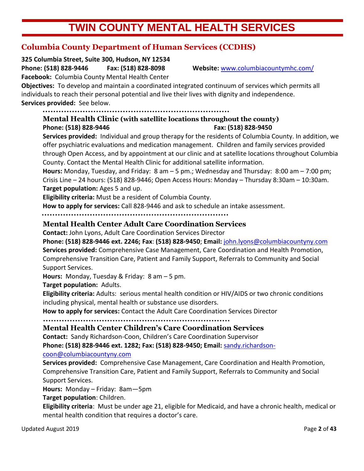# **TWIN COUNTY MENTAL HEALTH SERVICES**

# **Columbia County Department of Human Services (CCDHS)**

**325 Columbia Street, Suite 300, Hudson, NY 12534 Phone: (518) 828-9446 Fax: (518) 828-8098 Website:** [www.columbiacountymhc.com/](http://www.columbiacountymhc.com/)

**Facebook:** Columbia County Mental Health Center

**Objectives:** To develop and maintain a coordinated integrated continuum of services which permits all individuals to reach their personal potential and live their lives with dignity and independence. **Services provided:** See below.

# **Mental Health Clinic (with satellite locations throughout the county) Phone: (518) 828-9446 Fax: (518) 828-9450**

**Services provided:** Individual and group therapy for the residents of Columbia County. In addition, we offer psychiatric evaluations and medication management. Children and family services provided through Open Access, and by appointment at our clinic and at satellite locations throughout Columbia County. Contact the Mental Health Clinic for additional satellite information.

**Hours:** Monday, Tuesday, and Friday: 8 am – 5 pm.; Wednesday and Thursday: 8:00 am – 7:00 pm; Crisis Line – 24 hours: (518) 828-9446; Open Access Hours: Monday – Thursday 8:30am – 10:30am. **Target population:** Ages 5 and up.

**Eligibility criteria:** Must be a resident of Columbia County.

**How to apply for services:** Call 828-9446 and ask to schedule an intake assessment.

### **Mental Health Center Adult Care Coordination Services**

**Contact:** John Lyons, Adult Care Coordination Services Director

**Phone: (518) 828-9446 ext. 2246; Fax**: **(518) 828-9450**; **Email:** [john.lyons@columbiacountyny.com](mailto:john.lyons@columbiacountyny.com) **Services provided:** Comprehensive Case Management, Care Coordination and Health Promotion, Comprehensive Transition Care, Patient and Family Support, Referrals to Community and Social Support Services.

**Hours:** Monday, Tuesday & Friday: 8 am – 5 pm.

**Target population:** Adults.

**Eligibility criteria:** Adults: serious mental health condition or HIV/AIDS or two chronic conditions including physical, mental health or substance use disorders.

**How to apply for services:** Contact the Adult Care Coordination Services Director

**Mental Health Center Children's Care Coordination Services**

**Contact:** Sandy Richardson-Coon, Children's Care Coordination Supervisor

**Phone: (518) 828-9446 ext. 1282; Fax: (518) 828-9450; Email:** [sandy.richardson-](sandy.richardson-coon@columbiacountyny.com)

[coon@columbiacountyny.com](sandy.richardson-coon@columbiacountyny.com)

**Services provided:** Comprehensive Case Management, Care Coordination and Health Promotion, Comprehensive Transition Care, Patient and Family Support, Referrals to Community and Social Support Services.

**Hours:** Monday – Friday: 8am—5pm

**Target population**: Children.

**Eligibility criteria**: Must be under age 21, eligible for Medicaid, and have a chronic health, medical or mental health condition that requires a doctor's care.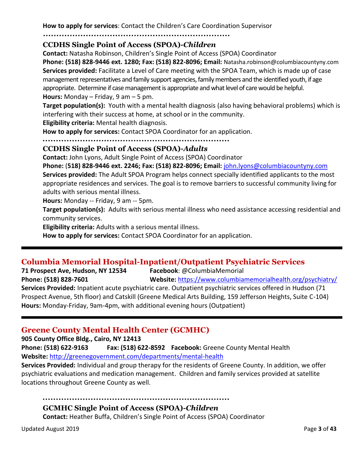**How to apply for services**: Contact the Children's Care Coordination Supervisor

#### 

#### **CCDHS Single Point of Access (SPOA)-***Children*

**Contact:** Natasha Robinson, Children's Single Point of Access (SPOA) Coordinator

**Phone: (518) 828-9446 ext. 1280; Fax: (518) 822-8096; Email:** Natasha.robinson@columbiacountyny.com **Services provided:** Facilitate a Level of Care meeting with the SPOA Team, which is made up of case management representatives and family support agencies, family members and the identified youth, if age appropriate. Determine if case management is appropriate and what level of care would be helpful. **Hours:** Monday – Friday, 9 am – 5 pm.

**Target population(s):** Youth with a mental health diagnosis (also having behavioral problems) which is interfering with their success at home, at school or in the community.

**Eligibility criteria:** Mental health diagnosis.

**How to apply for services:** Contact SPOA Coordinator for an application.

#### **CCDHS Single Point of Access (SPOA)-***Adults*

**Contact:** John Lyons, Adult Single Point of Access (SPOA) Coordinator

**Phone:** (**518) 828-9446 ext. 2246; Fax: (518) 822-8096; Email:** [john.lyons@columbiacountyny.com](mailto:john.lyons@columbiacountyny.com)

**Services provided:** The Adult SPOA Program helps connect specially identified applicants to the most appropriate residences and services. The goal is to remove barriers to successful community living for adults with serious mental illness.

**Hours:** Monday -- Friday, 9 am -- 5pm.

**Target population(s):** Adults with serious mental illness who need assistance accessing residential and community services.

**Eligibility criteria:** Adults with a serious mental illness.

**How to apply for services:** Contact SPOA Coordinator for an application.

### **Columbia Memorial Hospital-Inpatient/Outpatient Psychiatric Services**

**71 Prospect Ave, Hudson, NY 12534 Facebook**: @ColumbiaMemorial **Phone: (518) 828-7601 Website:** <https://www.columbiamemorialhealth.org/psychiatry/> **Services Provided:** Inpatient acute psychiatric care. Outpatient psychiatric services offered in Hudson (71

Prospect Avenue, 5th floor) and Catskill (Greene Medical Arts Building, 159 Jefferson Heights, Suite C-104) **Hours:** Monday-Friday, 9am-4pm, with additional evening hours (Outpatient)

### **Greene County Mental Health Center (GCMHC)**

**905 County Office Bldg., Cairo, NY 12413**

**Phone: (518) 622-9163 Fax: (518) 622-8592 Facebook:** Greene County Mental Health **Website:** <http://greenegovernment.com/departments/mental-health>

**Services Provided:** Individual and group therapy for the residents of Greene County. In addition, we offer psychiatric evaluations and medication management. Children and family services provided at satellite locations throughout Greene County as well.

#### 

### **GCMHC Single Point of Access (SPOA)-***Children*

**Contact:** Heather Buffa, Children's Single Point of Access (SPOA) Coordinator

Updated August 2019 Page **3** of **43**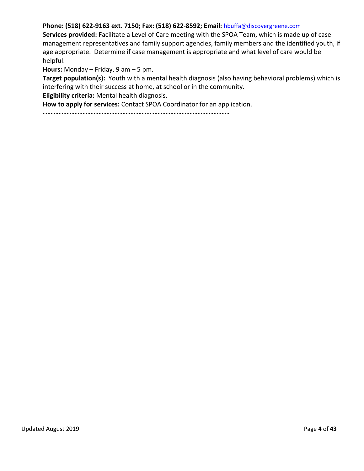#### **Phone: (518) 622-9163 ext. 7150; Fax: (518) 622-8592; Email:** [hbuffa@discovergreene.com](mailto:susan.whittaker@columbiacountyny.com)

**Services provided:** Facilitate a Level of Care meeting with the SPOA Team, which is made up of case management representatives and family support agencies, family members and the identified youth, if age appropriate. Determine if case management is appropriate and what level of care would be helpful.

**Hours:** Monday – Friday, 9 am – 5 pm.

**Target population(s):** Youth with a mental health diagnosis (also having behavioral problems) which is interfering with their success at home, at school or in the community.

**Eligibility criteria:** Mental health diagnosis.

**How to apply for services:** Contact SPOA Coordinator for an application.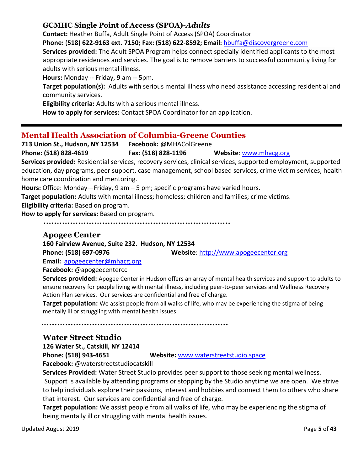#### **GCMHC Single Point of Access (SPOA)-***Adults*

**Contact:** Heather Buffa, Adult Single Point of Access (SPOA) Coordinator

**Phone:** (**518) 622-9163 ext. 7150; Fax: (518) 622-8592; Email:** [hbuffa@discovergreene.com](mailto:hbuffa@discovergreene.com)

**Services provided:** The Adult SPOA Program helps connect specially identified applicants to the most appropriate residences and services. The goal is to remove barriers to successful community living for adults with serious mental illness.

**Hours:** Monday -- Friday, 9 am -- 5pm.

**Target population(s):** Adults with serious mental illness who need assistance accessing residential and community services.

**Eligibility criteria:** Adults with a serious mental illness.

**How to apply for services:** Contact SPOA Coordinator for an application.

# **Mental Health Association of Columbia-Greene Counties**

**713 Union St., Hudson, NY 12534 Facebook:** @MHAColGreene

**Phone: (518) 828-4619 Fax: (518) 828-1196 Website**: [www.mhacg.org](http://www.mhacg.org/)

**Services provided:** Residential services, recovery services, clinical services, supported employment, supported education, day programs, peer support, case management, school based services, crime victim services, health home care coordination and mentoring.

**Hours:** Office: Monday—Friday, 9 am – 5 pm; specific programs have varied hours.

**Target population:** Adults with mental illness; homeless; children and families; crime victims.

**Eligibility criteria:** Based on program.

**How to apply for services:** Based on program.

#### **Apogee Center**

**160 Fairview Avenue, Suite 232. Hudson, NY 12534**

**Phone: (518) 697-0976 Website**: [http://www.apogeecenter.org](http://www.apogeecenter.org/) 

**Email:** [apogeecenter@mhacg.org](mailto:apogeecenter@mhacg.org)

**Facebook:** @apogeecentercc

**Services provided:** Apogee Center in Hudson offers an array of mental health services and support to adults to ensure recovery for people living with mental illness, including peer-to-peer services and Wellness Recovery Action Plan services. Our services are confidential and free of charge.

**Target population:** We assist people from all walks of life, who may be experiencing the stigma of being mentally ill or struggling with mental health issues

# **Water Street Studio**

**126 Water St., Catskill, NY 12414**

**Phone: (518) 943-4651 Website:** [www.waterstreetstudio.space](http://www.waterstreetstudio.space/)

**Facebook:** @waterstreetstudiocatskill

**Services Provided:** Water Street Studio provides peer support to those seeking mental wellness.

Support is available by attending programs or stopping by the Studio anytime we are open. We strive to help individuals explore their passions, interest and hobbies and connect them to others who share that interest. Our services are confidential and free of charge.

**Target population:** We assist people from all walks of life, who may be experiencing the stigma of being mentally ill or struggling with mental health issues.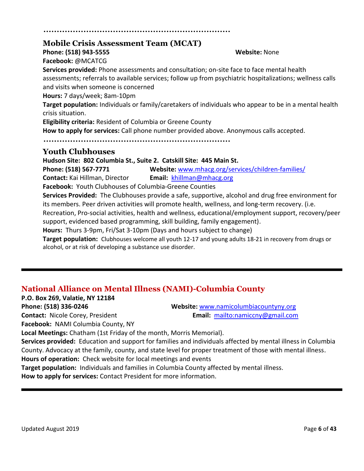# **Mobile Crisis Assessment Team (MCAT)**

**Phone: (518) 943-5555 Website:** None

**Facebook:** @MCATCG

**Services provided:** Phone assessments and consultation; on-site face to face mental health assessments; referrals to available services; follow up from psychiatric hospitalizations; wellness calls and visits when someone is concerned **Hours:** 7 days/week; 8am-10pm

**Target population:** Individuals or family/caretakers of individuals who appear to be in a mental health crisis situation.

**Eligibility criteria:** Resident of Columbia or Greene County

**How to apply for services:** Call phone number provided above. Anonymous calls accepted.

## **Youth Clubhouses**

**Hudson Site: 802 Columbia St., Suite 2. Catskill Site: 445 Main St.** 

**Phone: (518) 567-7771 Website:** [www.mhacg.org/services/children-families/](http://www.mhacg.org/services/children-families/) **Contact:** Kai Hillman, Director **Email:** [khillman@mhacg.org](mailto:khillman@mhacg.org)

**Facebook:** Youth Clubhouses of Columbia-Greene Counties

**Services Provided:** The Clubhouses provide a safe, supportive, alcohol and drug free environment for its members. Peer driven activities will promote health, wellness, and long-term recovery. (i.e. Recreation, Pro-social activities, health and wellness, educational/employment support, recovery/peer support, evidenced based programming, skill building, family engagement).

**Hours:** Thurs 3-9pm, Fri/Sat 3-10pm (Days and hours subject to change)

**Target population:** Clubhouses welcome all youth 12-17 and young adults 18-21 in recovery from drugs or alcohol, or at risk of developing a substance use disorder.

# **National Alliance on Mental Illness (NAMI)-Columbia County**

**P.O. Box 269, Valatie, NY 12184**

**Phone: (518) 336-0246 Website:** [www.namicolumbiacountyny.org](http://www.namicolumbiacountyny.org/)

**Contact:** Nicole Corey, President **Email:** <mailto:namiccny@gmail.com>

**Facebook:** NAMI Columbia County, NY

**Local Meetings:** Chatham (1st Friday of the month, Morris Memorial).

**Services provided:** Education and support for families and individuals affected by mental illness in Columbia County. Advocacy at the family, county, and state level for proper treatment of those with mental illness. **Hours of operation:** Check website for local meetings and events

**Target population:** Individuals and families in Columbia County affected by mental illness.

**How to apply for services:** Contact President for more information.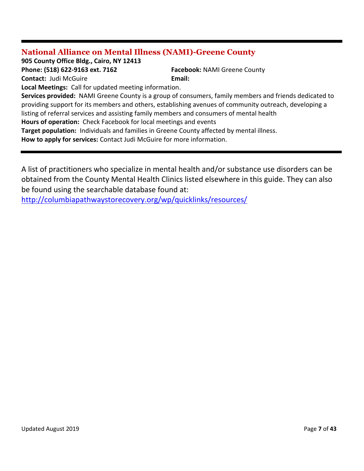# **National Alliance on Mental Illness (NAMI)-Greene County**

**905 County Office Bldg., Cairo, NY 12413**

**Phone: (518) 622-9163 ext. 7162 Facebook:** NAMI Greene County **Contact:** Judi McGuire **Email:** 

**Local Meetings:** Call for updated meeting information.

**Services provided:** NAMI Greene County is a group of consumers, family members and friends dedicated to providing support for its members and others, establishing avenues of community outreach, developing a listing of referral services and assisting family members and consumers of mental health

**Hours of operation:** Check Facebook for local meetings and events

**Target population:** Individuals and families in Greene County affected by mental illness.

**How to apply for services:** Contact Judi McGuire for more information.

A list of practitioners who specialize in mental health and/or substance use disorders can be obtained from the County Mental Health Clinics listed elsewhere in this guide. They can also be found using the searchable database found at:

<http://columbiapathwaystorecovery.org/wp/quicklinks/resources/>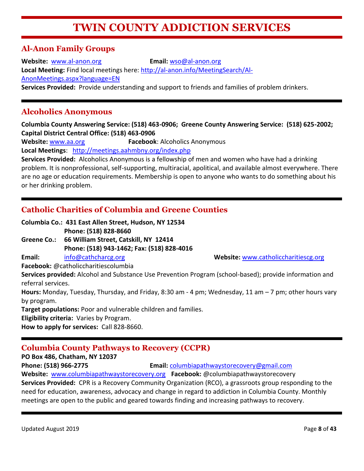# **TWIN COUNTY ADDICTION SERVICES**

# **Al-Anon Family Groups**

**Website:** [www.al-anon.org](http://www.al-anon.org/) **Email:** [wso@al-anon.org](mailto:wso@al-anon.org) **Local Meeting:** Find local meetings here: [http://al-anon.info/MeetingSearch/Al-](http://al-anon.info/MeetingSearch/Al-AnonMeetings.aspx?language=EN)[AnonMeetings.aspx?language=EN](http://al-anon.info/MeetingSearch/Al-AnonMeetings.aspx?language=EN) **Services Provided:** Provide understanding and support to friends and families of problem drinkers.

## **Alcoholics Anonymous**

**Columbia County Answering Service: (518) 463-0906; Greene County Answering Service: (518) 625-2002; Capital District Central Office: (518) 463-0906**

**Website:** [www.aa.org](http://www.aa.org/) **Facebook**: Alcoholics Anonymous **Local Meetings**: <http://meetings.aahmbny.org/index.php>

**Services Provided:** Alcoholics Anonymous is a fellowship of men and women who have had a drinking problem. It is nonprofessional, self-supporting, multiracial, apolitical, and available almost everywhere. There are no age or education requirements. Membership is open to anyone who wants to do something about his or her drinking problem.

# **Catholic Charities of Columbia and Greene Counties**

**Columbia Co.: 431 East Allen Street, Hudson, NY 12534 Phone: (518) 828-8660** 

**Greene Co.: 66 William Street, Catskill, NY 12414 Phone: (518) 943-1462; Fax: (518) 828-4016** 

**Email:** [info@cathcharcg.org](mailto:info@cathcharcg.org) **Website:** [www.catholiccharitiescg.org](http://www.catholiccharitiescg.org/)

**Facebook:** @catholiccharitiescolumbia

**Services provided:** Alcohol and Substance Use Prevention Program (school-based); provide information and referral services.

**Hours:** Monday, Tuesday, Thursday, and Friday, 8:30 am - 4 pm; Wednesday, 11 am – 7 pm; other hours vary by program.

**Target populations:** Poor and vulnerable children and families.

**Eligibility criteria:** Varies by Program.

**How to apply for services:** Call 828-8660.

# **Columbia County Pathways to Recovery (CCPR)**

**PO Box 486, Chatham, NY 12037**

**Phone: (518) 966-2775 Email:** [columbiapathwaystorecovery@gmail.com](mailto:columbiapathwaystorecovery@gmail.com)

**Website:** [www.columbiapathwaystorecovery.org](http://www.columbiapathwaystorecovery.org/) **Facebook:** @columbiapathwaystorecovery **Services Provided:** CPR is a Recovery Community Organization (RCO), a grassroots group responding to the need for education, awareness, advocacy and change in regard to addiction in Columbia County. Monthly meetings are open to the public and geared towards finding and increasing pathways to recovery.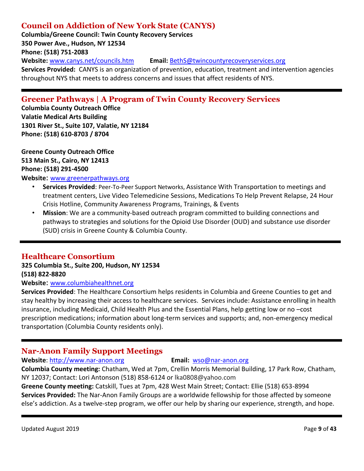# **Council on Addiction of New York State (CANYS)**

**Columbia/Greene Council: Twin County Recovery Services 350 Power Ave., Hudson, NY 12534 Phone: (518) 751-2083 Website:** [www.canys.net/councils.htm](http://www.canys.net/councils.htm) **Email:** [BethS@twincountyrecoveryservices.org](mailto:BethS@twincountyrecoveryservices.org) **Services Provided:** CANYS is an organization of prevention, education, treatment and intervention agencies throughout NYS that meets to address concerns and issues that affect residents of NYS.

# **Greener Pathways | A Program of Twin County Recovery Services**

**Columbia County Outreach Office Valatie Medical Arts Building 1301 River St., Suite 107, Valatie, NY 12184 Phone: (518) 610-8703 / 8704**

**Greene County Outreach Office 513 Main St., Cairo, NY 12413 Phone: (518) 291-4500**

#### **Website**: [www.greenerpathways.org](http://www.greenerpathways.org/)

- **Services Provided**: Peer-To-Peer Support Networks, Assistance With Transportation to meetings and treatment centers, Live Video Telemedicine Sessions, Medications To Help Prevent Relapse, 24 Hour Crisis Hotline, Community Awareness Programs, Trainings, & Events
- **Mission**: We are a community-based outreach program committed to building connections and pathways to strategies and solutions for the Opioid Use Disorder (OUD) and substance use disorder (SUD) crisis in Greene County & Columbia County.

#### **Healthcare Consortium**

**325 Columbia St., Suite 200, Hudson, NY 12534 (518) 822-8820**

#### **Website**: [www.columbiahealthnet.org](http://www.columbiahealthnet.org/)

**Services Provided**: The Healthcare Consortium helps residents in Columbia and Greene Counties to get and stay healthy by increasing their access to healthcare services. Services include: Assistance enrolling in health insurance, including Medicaid, Child Health Plus and the Essential Plans, help getting low or no –cost prescription medications; information about long-term services and supports; and, non-emergency medical transportation (Columbia County residents only).

# **Nar-Anon Family Support Meetings**

#### **Website**: [http://www.nar-anon.org](http://www.nar-anon.org/) **Email:** [wso@nar-anon.org](mailto:wso@nar-anon.org)

**Columbia County meeting:** Chatham, Wed at 7pm, Crellin Morris Memorial Building, 17 Park Row, Chatham, NY 12037; Contact: Lori Antonson (518) 858-6124 or lka0808@yahoo.com

**Greene County meeting:** Catskill, Tues at 7pm, 428 West Main Street; Contact: Ellie (518) 653-8994 **Services Provided:** The Nar-Anon Family Groups are a worldwide fellowship for those affected by someone else's addiction. As a twelve-step program, we offer our help by sharing our experience, strength, and hope.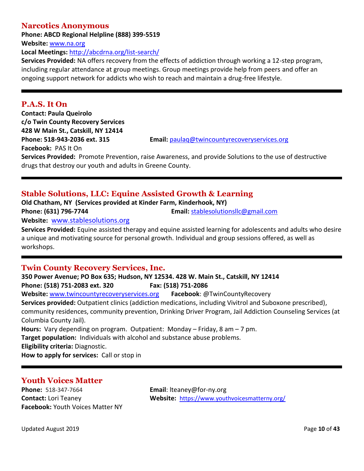#### **Narcotics Anonymous**

**Phone: ABCD Regional Helpline (888) 399-5519**

**Website:** [www.na.org](http://www.na.org/)

**Local Meetings:** <http://abcdrna.org/list-search/>

**Services Provided:** NA offers recovery from the effects of addiction through working a 12-step program, including regular attendance at group meetings. Group meetings provide help from peers and offer an ongoing support network for addicts who wish to reach and maintain a drug-free lifestyle.

#### **P.A.S. It On**

**Contact: Paula Queirolo c/o Twin County Recovery Services 428 W Main St., Catskill, NY 12414 Facebook:** PAS It On

**Phone: 518-943-2036 ext. 315 Email:** [paulaq@twincountyrecoveryservices.org](mailto:paulaq@twincountyrecoveryservices.org)

**Services Provided:** Promote Prevention, raise Awareness, and provide Solutions to the use of destructive drugs that destroy our youth and adults in Greene County.

# **Stable Solutions, LLC: Equine Assisted Growth & Learning**

**Old Chatham, NY (Services provided at Kinder Farm, Kinderhook, NY) Phone: (631) 796-7744 Email:** [stablesolutionsllc@gmail.com](mailto:stablesolutionsllc@gmail.com)

**Website:** [www.stablesolutions.org](http://www.stablesolutions.org/)

**Services Provided:** Equine assisted therapy and equine assisted learning for adolescents and adults who desire a unique and motivating source for personal growth. Individual and group sessions offered, as well as workshops.

### **Twin County Recovery Services, Inc.**

**350 Power Avenue; PO Box 635; Hudson, NY 12534. 428 W. Main St., Catskill, NY 12414 Phone: (518) 751-2083 ext. 320 Fax: (518) 751-2086 Website:** [www.twincountyrecoveryservices.org](http://www.twincountyrecoveryservices.org/) **Facebook**: @TwinCountyRecovery **Services provided:** Outpatient clinics (addiction medications, including Vivitrol and Suboxone prescribed), community residences, community prevention, Drinking Driver Program, Jail Addiction Counseling Services (at Columbia County Jail). **Hours:** Vary depending on program. Outpatient: Monday – Friday, 8 am – 7 pm. **Target population:** Individuals with alcohol and substance abuse problems. **Eligibility criteria:** Diagnostic. **How to apply for services:** Call or stop in

# **Youth Voices Matter**

**Phone:** 518-347-7664 **Email**: lteaney@for-ny.org **Facebook:** Youth Voices Matter NY

**Contact:** Lori Teaney **Website:** <https://www.youthvoicesmatterny.org/>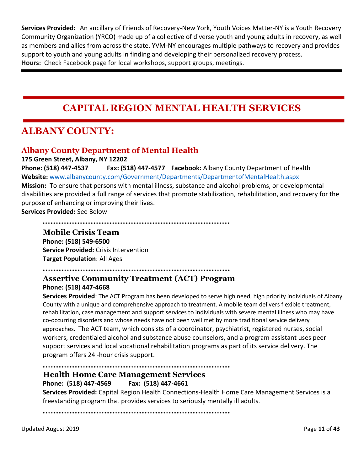**Services Provided:** An ancillary of Friends of Recovery-New York, Youth Voices Matter-NY is a Youth Recovery Community Organization (YRCO) made up of a collective of diverse youth and young adults in recovery, as well as members and allies from across the state. YVM-NY encourages multiple pathways to recovery and provides support to youth and young adults in finding and developing their personalized recovery process. **Hours:** Check Facebook page for local workshops, support groups, meetings.

# **CAPITAL REGION MENTAL HEALTH SERVICES**

# **ALBANY COUNTY:**

# **Albany County Department of Mental Health**

**175 Green Street, Albany, NY 12202**

**Phone: (518) 447-4537 Fax: (518) 447-4577 Facebook:** Albany County Department of Health **Website:** [www.albanycounty.com/Government/Departments/DepartmentofMentalHealth.aspx](http://www.albanycounty.com/Government/Departments/DepartmentofMentalHealth.aspx) **Mission:** To ensure that persons with mental illness, substance and alcohol problems, or developmental disabilities are provided a full range of services that promote stabilization, rehabilitation, and recovery for the purpose of enhancing or improving their lives.

**Services Provided:** See Below

#### **Mobile Crisis Team**

**Phone: (518) 549-6500 Service Provided:** Crisis Intervention **Target Population**: All Ages

### **Assertive Community Treatment (ACT) Program**

#### **Phone: (518) 447-4668**

**Services Provided**: The ACT Program has been developed to serve high need, high priority individuals of Albany County with a unique and comprehensive approach to treatment. A mobile team delivers flexible treatment, rehabilitation, case management and support services to individuals with severe mental illness who may have co-occurring disorders and whose needs have not been well met by more traditional service delivery approaches. The ACT team, which consists of a coordinator, psychiatrist, registered nurses, social workers, credentialed alcohol and substance abuse counselors, and a program assistant uses peer support services and local vocational rehabilitation programs as part of its service delivery. The program offers 24 -hour crisis support.

#### **Health Home Care Management Services**

**Phone: (518) 447-4569 Fax: (518) 447-4661**

**Services Provided:** Capital Region Health Connections-Health Home Care Management Services is a freestanding program that provides services to seriously mentally ill adults.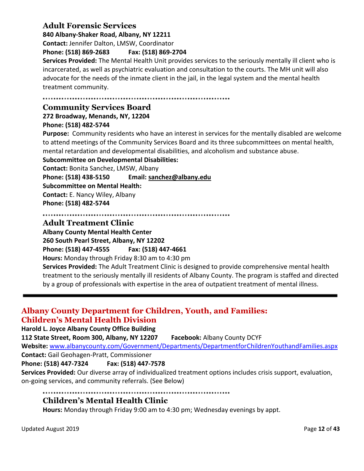## **Adult Forensic Services**

**840 Albany-Shaker Road, Albany, NY 12211**

**Contact:** Jennifer Dalton, LMSW, Coordinator

#### **Phone: (518) 869-2683 Fax: (518) 869-2704**

**Services Provided:** The Mental Health Unit provides services to the seriously mentally ill client who is incarcerated, as well as psychiatric evaluation and consultation to the courts. The MH unit will also advocate for the needs of the inmate client in the jail, in the legal system and the mental health treatment community.

# **Community Services Board**

**272 Broadway, Menands, NY, 12204 Phone: (518) 482-5744**

**Purpose:** Community residents who have an interest in services for the mentally disabled are welcome to attend meetings of the Community Services Board and its three subcommittees on mental health, mental retardation and developmental disabilities, and alcoholism and substance abuse.

**Subcommittee on Developmental Disabilities:**

**Contact:** Bonita Sanchez, LMSW, Albany **Phone: (518) 438-5150 Email: [sanchez@albany.edu](mailto:sanchez@albany.edu) Subcommittee on Mental Health: Contact:** E. Nancy Wiley, Albany **Phone: (518) 482-5744**

**Adult Treatment Clinic**

**Albany County Mental Health Center 260 South Pearl Street, Albany, NY 12202 Phone: (518) 447-4555 Fax: (518) 447-4661 Hours:** Monday through Friday 8:30 am to 4:30 pm

**Services Provided:** The Adult Treatment Clinic is designed to provide comprehensive mental health treatment to the seriously mentally ill residents of Albany County. The program is staffed and directed by a group of professionals with expertise in the area of outpatient treatment of mental illness.

## **Albany County Department for Children, Youth, and Families: Children's Mental Health Division**

**Harold L. Joyce Albany County Office Building**

**112 State Street, Room 300, Albany, NY 12207 Facebook:** Albany County DCYF

**Website:** [www.albanycounty.com/Government/Departments/DepartmentforChildrenYouthandFamilies.aspx](file:///C:/Users/mcole/AppData/Local/Microsoft/Windows/INetCache/Content.Outlook/AU5BI2KR/www.albanycounty.com/Government/Departments/DepartmentforChildrenYouthandFamilies.aspx) **Contact:** Gail Geohagen-Pratt, Commissioner

**Phone: (518) 447-7324 Fax: (518) 447-7578**

**Services Provided:** Our diverse array of individualized treatment options includes crisis support, evaluation, on-going services, and community referrals. (See Below)

#### 

### **Children's Mental Health Clinic**

**Hours:** Monday through Friday 9:00 am to 4:30 pm; Wednesday evenings by appt.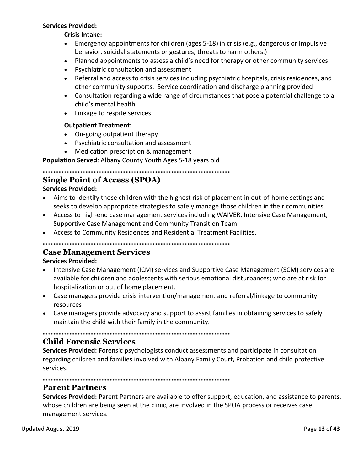#### **Services Provided:**

**Crisis Intake:**

- Emergency appointments for children (ages 5-18) in crisis (e.g., dangerous or Impulsive behavior, suicidal statements or gestures, threats to harm others.)
- Planned appointments to assess a child's need for therapy or other community services
- Psychiatric consultation and assessment
- Referral and access to crisis services including psychiatric hospitals, crisis residences, and other community supports. Service coordination and discharge planning provided
- Consultation regarding a wide range of circumstances that pose a potential challenge to a child's mental health
- Linkage to respite services

#### **Outpatient Treatment:**

- On-going outpatient therapy
- Psychiatric consultation and assessment
- Medication prescription & management

**Population Served**: Albany County Youth Ages 5-18 years old

#### 

## **Single Point of Access (SPOA)**

#### **Services Provided:**

- Aims to identify those children with the highest risk of placement in out-of-home settings and seeks to develop appropriate strategies to safely manage those children in their communities.
- Access to high-end case management services including WAIVER, Intensive Case Management, Supportive Case Management and Community Transition Team
- Access to Community Residences and Residential Treatment Facilities.

#### **Case Management Services**

#### **Services Provided:**

- Intensive Case Management (ICM) services and Supportive Case Management (SCM) services are available for children and adolescents with serious emotional disturbances; who are at risk for hospitalization or out of home placement.
- Case managers provide crisis intervention/management and referral/linkage to community resources
- Case managers provide advocacy and support to assist families in obtaining services to safely maintain the child with their family in the community.

#### 

#### **Child Forensic Services**

**Services Provided:** Forensic psychologists conduct assessments and participate in consultation regarding children and families involved with Albany Family Court, Probation and child protective services.

#### **Parent Partners**

**Services Provided:** Parent Partners are available to offer support, education, and assistance to parents, whose children are being seen at the clinic, are involved in the SPOA process or receives case management services.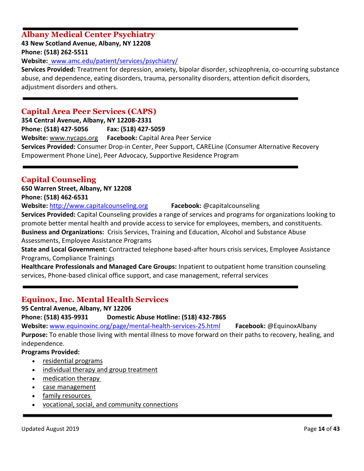# **Albany Medical Center Psychiatry**

**43 New Scotland Avenue, Albany, NY 12208 Phone: (518) 262-5511**

**Website:** [www.amc.edu/patient/services/psychiatry/](https://www.amc.edu/patient/services/psychiatry/)

**Services Provided:** Treatment for depression, anxiety, bipolar disorder, schizophrenia, co-occurring substance abuse, and dependence, eating disorders, trauma, personality disorders, attention deficit disorders, adjustment disorders and others.

### **Capital Area Peer Services (CAPS)**

**354 Central Avenue, Albany, NY 12208-2331 Phone: (518) 427-5056 Fax: (518) 427-5059 Website:** [www.nycaps.org](http://www.nycaps.org/) **Facebook:** Capital Area Peer Service **Services Provided:** Consumer Drop-in Center, Peer Support, CARELine (Consumer Alternative Recovery Empowerment Phone Line), Peer Advocacy, Supportive Residence Program

# **Capital Counseling**

# **650 Warren Street, Albany, NY 12208**

**Phone: (518) 462-6531**

**Website:** [http://www.capitalcounseling.org](http://www.capitalcounseling.org/) **Facebook:** @capitalcounseling

**Services Provided:** Capital Counseling provides a range of services and programs for organizations looking to promote better mental health and provide access to service for employees, members, and constituents. **Business and Organizations:** Crisis Services, Training and Education, Alcohol and Substance Abuse Assessments, Employee Assistance Programs

**State and Local Government:** Contracted telephone based-after hours crisis services, Employee Assistance Programs, Compliance Trainings

**Healthcare Professionals and Managed Care Groups:** Inpatient to outpatient home transition counseling services, Phone-based clinical office support, and case management, referral services

# **Equinox, Inc. Mental Health Services**

**95 Central Avenue, Albany, NY 12206**

**Phone: (518) 435-9931 Domestic Abuse Hotline: (518) 432-7865**

**Website:** [www.equinoxinc.org/page/mental-health-services-25.html](http://www.equinoxinc.org/page/mental-health-services-25.html) **Facebook:** @EquinoxAlbany **Purpose:** To enable those living with mental illness to move forward on their paths to recovery, healing, and independence.

#### **Programs Provided:**

- [residential programs](http://www.equinoxinc.org/page/housing-26.html)
- [individual therapy and group treatment](http://www.equinoxinc.org/page/outpatient-services-31.html)
- [medication therapy](http://www.equinoxinc.org/page/outpatient-services-31.html)
- [case management](http://www.equinoxinc.org/page/outpatient-services-31.html)
- [family resources](http://www.equinoxinc.org/page/outpatient-services-31.html)
- [vocational, social, and community connections](http://www.equinoxinc.org/page/outpatient-services-31.html)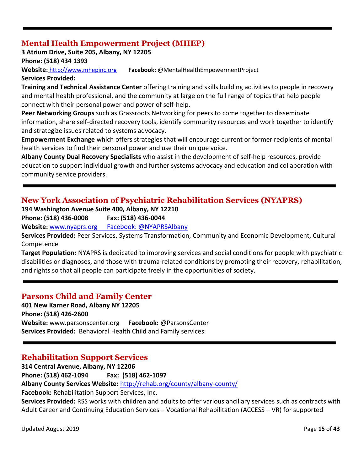# **Mental Health Empowerment Project (MHEP)**

**3 Atrium Drive, Suite 205, Albany, NY 12205**

**Phone: (518) 434 1393**

**Website:** [http://www.mhepinc.org](http://www.mhepinc.org/) **Facebook:** @MentalHealthEmpowermentProject

**Services Provided:** 

**Training and Technical Assistance Center** offering training and skills building activities to people in recovery and mental health professional, and the community at large on the full range of topics that help people connect with their personal power and power of self-help.

**Peer Networking Groups** such as Grassroots Networking for peers to come together to disseminate information, share self-directed recovery tools, identify community resources and work together to identify and strategize issues related to systems advocacy.

**Empowerment Exchange** which offers strategies that will encourage current or former recipients of mental health services to find their personal power and use their unique voice.

**Albany County Dual Recovery Specialists** who assist in the development of self-help resources, provide education to support individual growth and further systems advocacy and education and collaboration with community service providers.

# **New York Association of Psychiatric Rehabilitation Services (NYAPRS)**

**194 Washington Avenue Suite 400, Albany, NY 12210**

**Phone: (518) 436-0008 Fax: (518) 436-0044** 

**Website:** www.nyaprs.org Facebook: @NYAPRSAlbany

**Services Provided:** Peer Services, Systems Transformation, Community and Economic Development, Cultural Competence

**Target Population:** NYAPRS is dedicated to improving services and social conditions for people with psychiatric disabilities or diagnoses, and those with trauma-related conditions by promoting their recovery, rehabilitation, and rights so that all people can participate freely in the opportunities of society.

### **Parsons Child and Family Center**

**401 New Karner Road, Albany NY 12205 Phone: (518) 426-2600 Website:** [www.parsonscenter.org](http://www.parsonscenter.org/) **Facebook:** @ParsonsCenter **Services Provided:** Behavioral Health Child and Family services.

# **Rehabilitation Support Services**

**314 Central Avenue, Albany, NY 12206**

**Phone: (518) 462-1094 Fax: (518) 462-1097**

**Albany County Services Website:** <http://rehab.org/county/albany-county/>

**Facebook:** Rehabilitation Support Services, Inc.

**Services Provided:** RSS works with children and adults to offer various ancillary services such as contracts with Adult Career and Continuing Education Services – Vocational Rehabilitation (ACCESS – VR) for supported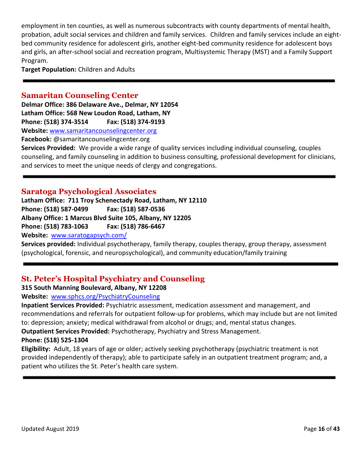employment in ten counties, as well as numerous subcontracts with county departments of mental health, probation, adult social services and children and family services. Children and family services include an eightbed community residence for adolescent girls, another eight-bed community residence for adolescent boys and girls, an after-school social and recreation program, Multisystemic Therapy (MST) and a Family Support Program.

**Target Population:** Children and Adults

#### **Samaritan Counseling Center**

**Delmar Office: 386 Delaware Ave., Delmar, NY 12054 Latham Office: 568 New Loudon Road, Latham, NY Phone: (518) 374-3514 Fax: (518) 374-9193 Website:** [www.samaritancounselingcenter.org](http://rehab.org/county/albany-county/)

**Facebook:** @samaritancounselingcenter.org

**Services Provided:** We provide a wide range of quality services including individual counseling, couples counseling, and family counseling in addition to business consulting, professional development for clinicians, and services to meet the unique needs of clergy and congregations.

#### **Saratoga Psychological Associates**

**Latham Office: 711 Troy Schenectady Road, Latham, NY 12110 Phone: (518) 587-0499 Fax: (518) 587-0536 Albany Office: 1 Marcus Blvd Suite 105, Albany, NY 12205 Phone: (518) 783-1063 Fax: (518) 786-6467 Website:** [www.saratogapsych.com/](http://www.saratogapsych.com/)

**Services provided:** Individual psychotherapy, family therapy, couples therapy, group therapy, assessment (psychological, forensic, and neuropsychological), and community education/family training

# **St. Peter's Hospital Psychiatry and Counseling**

**315 South Manning Boulevard, Albany, NY 12208**

**Website:** [www.sphcs.org/PsychiatryCounseling](http://www.sphcs.org/PsychiatryCounseling)

**Inpatient Services Provided:** Psychiatric assessment, medication assessment and management, and recommendations and referrals for outpatient follow-up for problems, which may include but are not limited to: depression; anxiety; medical withdrawal from alcohol or drugs; and, mental status changes. **Outpatient Services Provided:** Psychotherapy, Psychiatry and Stress Management.

#### **Phone: (518) 525-1304**

**Eligibility:** Adult, 18 years of age or older; actively seeking psychotherapy (psychiatric treatment is not provided independently of therapy); able to participate safely in an outpatient treatment program; and, a patient who utilizes the St. Peter's health care system.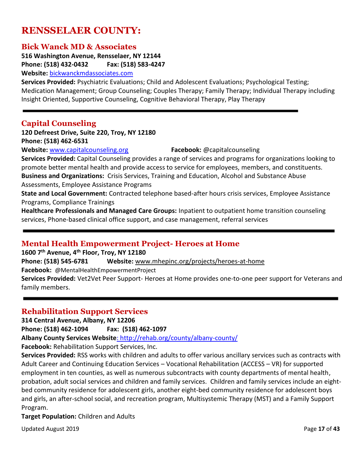# **RENSSELAER COUNTY:**

#### **Bick Wanck MD & Associates**

**516 Washington Avenue, Rensselaer, NY 12144 Phone: (518) 432-0432 Fax: (518) 583-4247 Website:** [bickwanckmdassociates.com](http://bickwanckmdassociates.com/)

**Services Provided:** Psychiatric Evaluations; Child and Adolescent Evaluations; Psychological Testing; Medication Management; Group Counseling; Couples Therapy; Family Therapy; Individual Therapy including Insight Oriented, Supportive Counseling, Cognitive Behavioral Therapy, Play Therapy

#### **Capital Counseling**

**120 Defreest Drive, Suite 220, Troy, NY 12180 Phone: (518) 462-6531**

**Website:** [www.capitalcounseling.org](http://www.capitalcounseling.org/) **Facebook:** @capitalcounseling

**Services Provided:** Capital Counseling provides a range of services and programs for organizations looking to promote better mental health and provide access to service for employees, members, and constituents. **Business and Organizations:** Crisis Services, Training and Education, Alcohol and Substance Abuse

Assessments, Employee Assistance Programs

**State and Local Government:** Contracted telephone based-after hours crisis services, Employee Assistance Programs, Compliance Trainings

**Healthcare Professionals and Managed Care Groups:** Inpatient to outpatient home transition counseling services, Phone-based clinical office support, and case management, referral services

### **Mental Health Empowerment Project- Heroes at Home**

**1600 7th Avenue, 4th Floor, Troy, NY 12180**

**Phone: (518) 545-6781 Website:** [www.mhepinc.org/projects/heroes-at-home](http://www.mhepinc.org/projects/heroes-at-home) **Facebook:** @MentalHealthEmpowermentProject

**Services Provided:** Vet2Vet Peer Support- Heroes at Home provides one-to-one peer support for Veterans and family members.

### **Rehabilitation Support Services**

**314 Central Avenue, Albany, NY 12206**

**Phone: (518) 462-1094 Fax: (518) 462-1097**

**Albany County Services Website**[: http://rehab.org/county/albany-county/](file:///C:/Users/mcole/AppData/Local/Microsoft/Windows/INetCache/Content.Outlook/AU5BI2KR/%20http/rehab.org/county/albany-county/)

**Facebook:** Rehabilitation Support Services, Inc.

**Services Provided:** RSS works with children and adults to offer various ancillary services such as contracts with Adult Career and Continuing Education Services – Vocational Rehabilitation (ACCESS – VR) for supported employment in ten counties, as well as numerous subcontracts with county departments of mental health, probation, adult social services and children and family services. Children and family services include an eightbed community residence for adolescent girls, another eight-bed community residence for adolescent boys and girls, an after-school social, and recreation program, Multisystemic Therapy (MST) and a Family Support Program.

**Target Population:** Children and Adults

Updated August 2019 **Page 17** of 43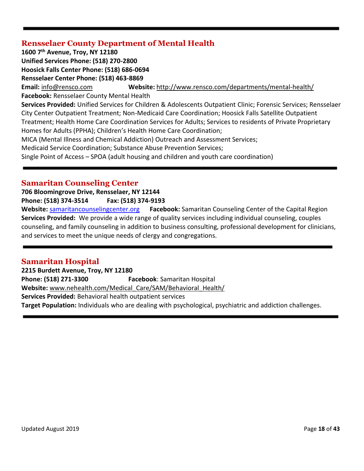## **Rensselaer County Department of Mental Health**

**1600 7th Avenue, Troy, NY 12180 Unified Services Phone: (518) 270-2800 Hoosick Falls Center Phone: (518) 686-0694 Rensselaer Center Phone: (518) 463-8869 Email:** [info@rensco.com](mailto:info@rensco.com) **Website:** <http://www.rensco.com/departments/mental-health/> **Facebook:** Rensselaer County Mental Health **Services Provided:** Unified Services for Children & Adolescents Outpatient Clinic; Forensic Services; Rensselaer City Center Outpatient Treatment; Non-Medicaid Care Coordination; Hoosick Falls Satellite Outpatient Treatment; Health Home Care Coordination Services for Adults; Services to residents of Private Proprietary Homes for Adults (PPHA); Children's Health Home Care Coordination; MICA (Mental Illness and Chemical Addiction) Outreach and Assessment Services; Medicaid Service Coordination; Substance Abuse Prevention Services; Single Point of Access – SPOA (adult housing and children and youth care coordination)

## **Samaritan Counseling Center**

**706 Bloomingrove Drive, Rensselaer, NY 12144 Phone: (518) 374-3514 Fax: (518) 374-9193 Website:** [samaritancounselingcenter.org](http://www.samaritancounselingcenter.org/) **Facebook:** Samaritan Counseling Center of the Capital Region **Services Provided:** We provide a wide range of quality services including individual counseling, couples counseling, and family counseling in addition to business consulting, professional development for clinicians, and services to meet the unique needs of clergy and congregations.

# **Samaritan Hospital**

**2215 Burdett Avenue, Troy, NY 12180 Phone: (518) 271-3300 Facebook**: Samaritan Hospital **Website:** [www.nehealth.com/Medical\\_Care/SAM/Behavioral\\_Health/](http://www.nehealth.com/Medical_Care/SAM/Behavioral_Health/) **Services Provided:** Behavioral health outpatient services **Target Population:** Individuals who are dealing with psychological, psychiatric and addiction challenges.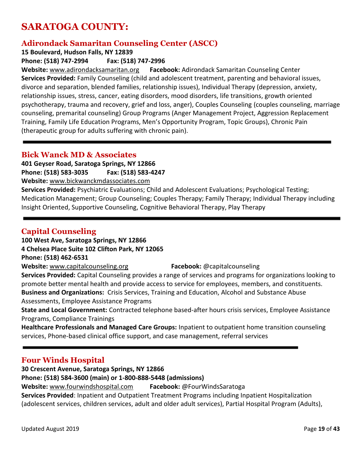# **SARATOGA COUNTY:**

# **Adirondack Samaritan Counseling Center (ASCC)**

**15 Boulevard, Hudson Falls, NY 12839**

**Phone: (518) 747-2994 Fax: (518) 747-2996**

**Website:** [www.adirondacksamaritan.org](http://www.adirondacksamaritan.org/) **Facebook:** Adirondack Samaritan Counseling Center **Services Provided:** Family Counseling (child and adolescent treatment, parenting and behavioral issues, divorce and separation, blended families, relationship issues), Individual Therapy (depression, anxiety, relationship issues, stress, cancer, eating disorders, mood disorders, life transitions, growth oriented psychotherapy, trauma and recovery, grief and loss, anger), Couples Counseling (couples counseling, marriage counseling, premarital counseling) Group Programs (Anger Management Project, Aggression Replacement Training, Family Life Education Programs, Men's Opportunity Program, Topic Groups), Chronic Pain (therapeutic group for adults suffering with chronic pain).

### **Bick Wanck MD & Associates**

**401 Geyser Road, Saratoga Springs, NY 12866 Phone: (518) 583-3035 Fax: (518) 583-4247 Website:** [www.bickwanckmdassociates.com](http://www.bickwanckmdassociates.com/)

**Services Provided:** Psychiatric Evaluations; Child and Adolescent Evaluations; Psychological Testing; Medication Management; Group Counseling; Couples Therapy; Family Therapy; Individual Therapy including Insight Oriented, Supportive Counseling, Cognitive Behavioral Therapy, Play Therapy

# **Capital Counseling**

**100 West Ave, Saratoga Springs, NY 12866** 

**4 Chelsea Place Suite 102 Clifton Park, NY 12065**

**Phone: (518) 462-6531**

**Website:** [www.capitalcounseling.org](http://www.capitalcounseling.org/) **Facebook:** @capitalcounseling

**Services Provided:** Capital Counseling provides a range of services and programs for organizations looking to promote better mental health and provide access to service for employees, members, and constituents. **Business and Organizations:** Crisis Services, Training and Education, Alcohol and Substance Abuse Assessments, Employee Assistance Programs

**State and Local Government:** Contracted telephone based-after hours crisis services, Employee Assistance Programs, Compliance Trainings

**Healthcare Professionals and Managed Care Groups:** Inpatient to outpatient home transition counseling services, Phone-based clinical office support, and case management, referral services

# **Four Winds Hospital**

**30 Crescent Avenue, Saratoga Springs, NY 12866 Phone: (518) 584-3600 (main) or 1-800-888-5448 (admissions) Website:** [www.fourwindshospital.com](http://www.fourwindshospital.com/) **Facebook:** @FourWindsSaratoga **Services Provided**: Inpatient and Outpatient Treatment Programs including Inpatient Hospitalization (adolescent services, children services, adult and older adult services), Partial Hospital Program (Adults),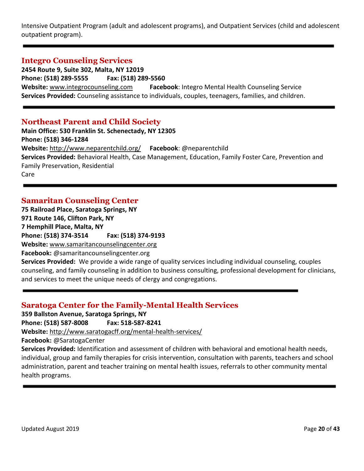Intensive Outpatient Program (adult and adolescent programs), and Outpatient Services (child and adolescent outpatient program).

#### **Integro Counseling Services**

**2454 Route 9, Suite 302, Malta, NY 12019 Phone: (518) 289-5555 Fax: (518) 289-5560 Website:** [www.integrocounseling.com](http://www.integrocounseling.com/) **Facebook**: Integro Mental Health Counseling Service **Services Provided:** Counseling assistance to individuals, couples, teenagers, families, and children.

#### **Northeast Parent and Child Society**

**Main Office: 530 Franklin St. Schenectady, NY 12305 Phone: (518) 346-1284 Website:** <http://www.neparentchild.org/> **Facebook**: @neparentchild **Services Provided:** Behavioral Health, Case Management, Education, Family Foster Care, Prevention and Family Preservation, Residential Care

### **Samaritan Counseling Center**

**75 Railroad Place, Saratoga Springs, NY 971 Route 146, Clifton Park, NY 7 Hemphill Place, Malta, NY Phone: (518) 374-3514 Fax: (518) 374-9193 Website:** [www.samaritancounselingcenter.org](http://www.samaritancounselingcenter.org/) **Facebook:** @samaritancounselingcenter.org

**Services Provided:** We provide a wide range of quality services including individual counseling, couples counseling, and family counseling in addition to business consulting, professional development for clinicians, and services to meet the unique needs of clergy and congregations.

#### **Saratoga Center for the Family-Mental Health Services**

**359 Ballston Avenue, Saratoga Springs, NY**

**Phone: (518) 587-8008 Fax: 518-587-8241**

**Website:** <http://www.saratogacff.org/mental-health-services/>

**Facebook:** @SaratogaCenter

**Services Provided:** Identification and assessment of children with behavioral and emotional health needs, individual, group and family therapies for crisis intervention, consultation with parents, teachers and school administration, parent and teacher training on mental health issues, referrals to other community mental health programs.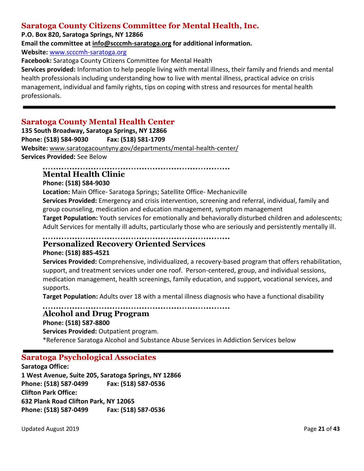# **Saratoga County Citizens Committee for Mental Health, Inc.**

#### **P.O. Box 820, Saratoga Springs, NY 12866**

**Email the committee at [info@scccmh-saratoga.org](mailto:info@scccmh-saratoga.org) for additional information.**

**Website:** [www.scccmh-saratoga.org](http://www.scccmh-saratoga.org/)

**Facebook:** Saratoga County Citizens Committee for Mental Health

**Services provided:** Information to help people living with mental illness, their family and friends and mental health professionals including understanding how to live with mental illness, practical advice on crisis management, individual and family rights, tips on coping with stress and resources for mental health professionals.

# **Saratoga County Mental Health Center**

**135 South Broadway, Saratoga Springs, NY 12866 Phone: (518) 584-9030 Fax: (518) 581-1709 Website:** [www.saratogacountyny.gov/departments/mental-health-center/](http://www.saratogacountyny.gov/departments/mental-health-center/) **Services Provided:** See Below

#### 

# **Mental Health Clinic**

# **Phone: (518) 584-9030**

**Location:** Main Office- Saratoga Springs; Satellite Office- Mechanicville

**Services Provided:** Emergency and crisis intervention, screening and referral, individual, family and group counseling, medication and education management, symptom management

**Target Population:** Youth services for emotionally and behaviorally disturbed children and adolescents; Adult Services for mentally ill adults, particularly those who are seriously and persistently mentally ill.

#### ............ **Personalized Recovery Oriented Services**

### **Phone: (518) 885-4521**

**Services Provided:** Comprehensive, individualized, a recovery-based program that offers rehabilitation, support, and treatment services under one roof. Person-centered, group, and individual sessions, medication management, health screenings, family education, and support, vocational services, and supports.

**Target Population:** Adults over 18 with a mental illness diagnosis who have a functional disability

#### **Alcohol and Drug Program**

**Phone: (518) 587-8800 Services Provided:** Outpatient program. \*Reference Saratoga Alcohol and Substance Abuse Services in Addiction Services below

# **Saratoga Psychological Associates**

**Saratoga Office: 1 West Avenue, Suite 205, Saratoga Springs, NY 12866 Phone: (518) 587-0499 Fax: (518) 587-0536 Clifton Park Office: 632 Plank Road Clifton Park, NY 12065 Phone: (518) 587-0499 Fax: (518) 587-0536**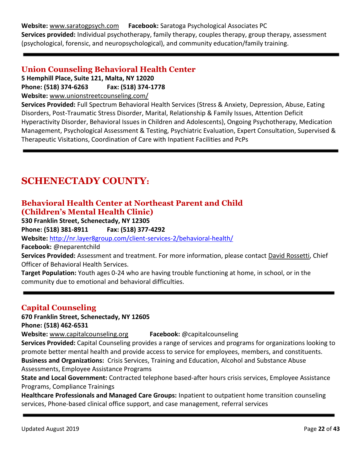**Website:** [www.saratogpsych.com](http://www.saratogpsych.com/) **Facebook:** Saratoga Psychological Associates PC **Services provided:** Individual psychotherapy, family therapy, couples therapy, group therapy, assessment (psychological, forensic, and neuropsychological), and community education/family training.

## **Union Counseling Behavioral Health Center**

**5 Hemphill Place, Suite 121, Malta, NY 12020**

**Phone: (518) 374-6263 Fax: (518) 374-1778**

**Website:** [www.unionstreetcounseling.com/](http://www.unionstreetcounseling.com/)

**Services Provided:** Full Spectrum Behavioral Health Services (Stress & Anxiety, Depression, Abuse, Eating Disorders, Post-Traumatic Stress Disorder, Marital, Relationship & Family Issues, Attention Deficit Hyperactivity Disorder, Behavioral Issues in Children and Adolescents), Ongoing Psychotherapy, Medication Management, Psychological Assessment & Testing, Psychiatric Evaluation, Expert Consultation, Supervised & Therapeutic Visitations, Coordination of Care with Inpatient Facilities and PcPs

# **SCHENECTADY COUNTY:**

# **Behavioral Health Center at Northeast Parent and Child (Children's Mental Health Clinic)**

**530 Franklin Street, Schenectady, NY 12305**

**Phone: (518) 381-8911 Fax: (518) 377-4292**

**Website:** <http://nr.layer8group.com/client-services-2/behavioral-health/>

**Facebook:** @neparentchild

**Services Provided:** Assessment and treatment. For more information, please contact [David Rossetti,](mailto:david.rossetti@nr.layer8group.com) Chief Officer of Behavioral Health Services.

**Target Population:** Youth ages 0-24 who are having trouble functioning at home, in school, or in the community due to emotional and behavioral difficulties.

# **Capital Counseling**

**670 Franklin Street, Schenectady, NY 12605**

**Phone: (518) 462-6531**

**Website:** [www.capitalcounseling.org](http://www.capitalcounseling.org/) **Facebook:** @capitalcounseling

**Services Provided:** Capital Counseling provides a range of services and programs for organizations looking to promote better mental health and provide access to service for employees, members, and constituents. **Business and Organizations:** Crisis Services, Training and Education, Alcohol and Substance Abuse Assessments, Employee Assistance Programs

**State and Local Government:** Contracted telephone based-after hours crisis services, Employee Assistance Programs, Compliance Trainings

**Healthcare Professionals and Managed Care Groups:** Inpatient to outpatient home transition counseling services, Phone-based clinical office support, and case management, referral services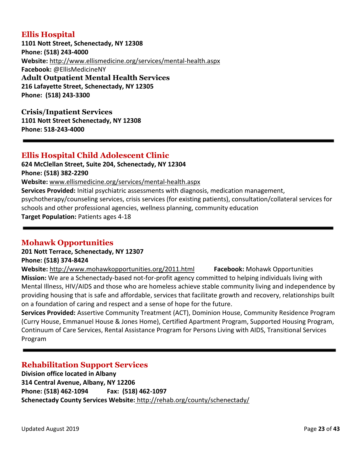# **Ellis Hospital**

**1101 Nott Street, Schenectady, NY 12308 Phone: (518) 243-4000 Website:** <http://www.ellismedicine.org/services/mental-health.aspx> **Facebook:** @EllisMedicineNY **Adult Outpatient Mental Health Services 216 Lafayette Street, Schenectady, NY 12305 Phone: (518) 243-3300**

**Crisis/Inpatient Services 1101 Nott Street Schenectady, NY 12308 Phone: 518-243-4000**

## **Ellis Hospital Child Adolescent Clinic**

**624 McClellan Street, Suite 204, Schenectady, NY 12304 Phone: (518) 382-2290 Website:** [www.ellismedicine.org/services/mental-health.aspx](http://www.ellismedicine.org/services/mental-health.aspx) **Services Provided:** Initial psychiatric assessments with diagnosis, medication management, psychotherapy/counseling services, crisis services (for existing patients), consultation/collateral services for schools and other professional agencies, wellness planning, community education **Target Population:** Patients ages 4-18

# **Mohawk Opportunities**

#### **201 Nott Terrace, Schenectady, NY 12307 Phone: (518) 374-8424**

**Website:** <http://www.mohawkopportunities.org/2011.html> **Facebook:** Mohawk Opportunities **Mission:** We are a Schenectady-based not-for-profit agency committed to helping individuals living with Mental Illness, HIV/AIDS and those who are homeless achieve stable community living and independence by providing housing that is safe and affordable, services that facilitate growth and recovery, relationships built on a foundation of caring and respect and a sense of hope for the future.

**Services Provided:** Assertive Community Treatment (ACT), Dominion House, Community Residence Program (Curry House, Emmanuel House & Jones Home), Certified Apartment Program, Supported Housing Program, Continuum of Care Services, Rental Assistance Program for Persons Living with AIDS, Transitional Services Program

# **Rehabilitation Support Services**

**Division office located in Albany 314 Central Avenue, Albany, NY 12206 Phone: (518) 462-1094 Fax: (518) 462-1097 Schenectady County Services Website:** <http://rehab.org/county/schenectady/>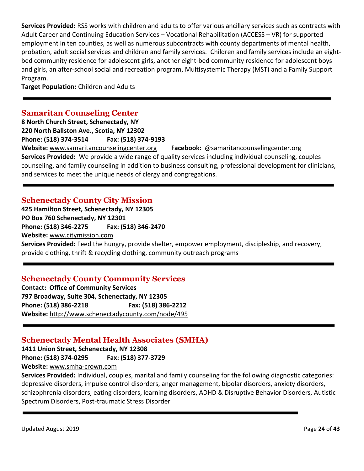**Services Provided:** RSS works with children and adults to offer various ancillary services such as contracts with Adult Career and Continuing Education Services – Vocational Rehabilitation (ACCESS – VR) for supported employment in ten counties, as well as numerous subcontracts with county departments of mental health, probation, adult social services and children and family services. Children and family services include an eightbed community residence for adolescent girls, another eight-bed community residence for adolescent boys and girls, an after-school social and recreation program, Multisystemic Therapy (MST) and a Family Support Program.

**Target Population:** Children and Adults

# **Samaritan Counseling Center**

**8 North Church Street, Schenectady, NY 220 North Ballston Ave., Scotia, NY 12302 Phone: (518) 374-3514 Fax: (518) 374-9193 Website:** [www.samaritancounselingcenter.org](http://www.samaritancounselingcenter.org/) **Facebook:** @samaritancounselingcenter.org **Services Provided:** We provide a wide range of quality services including individual counseling, couples counseling, and family counseling in addition to business consulting, professional development for clinicians, and services to meet the unique needs of clergy and congregations.

## **Schenectady County City Mission**

**425 Hamilton Street, Schenectady, NY 12305 PO Box 760 Schenectady, NY 12301 Phone: (518) 346-2275 Fax: (518) 346-2470 Website:** [www.citymission.com](http://www.citymission.com/) **Services Provided:** Feed the hungry, provide shelter, empower employment, discipleship, and recovery, provide clothing, thrift & recycling clothing, community outreach programs

# **Schenectady County Community Services**

**Contact: Office of Community Services 797 Broadway, Suite 304, Schenectady, NY 12305 Phone: (518) 386-2218 Fax: (518) 386-2212 Website:** <http://www.schenectadycounty.com/node/495>

### **Schenectady Mental Health Associates (SMHA)**

**1411 Union Street, Schenectady, NY 12308 Phone: (518) 374-0295 Fax: (518) 377-3729 Website:** [www.smha-crown.com](http://www.smha-crown.com/)

**Services Provided:** Individual, couples, marital and family counseling for the following diagnostic categories: depressive disorders, impulse control disorders, anger management, bipolar disorders, anxiety disorders, schizophrenia disorders, eating disorders, learning disorders, ADHD & Disruptive Behavior Disorders, Autistic Spectrum Disorders, Post-traumatic Stress Disorder

Updated August 2019 Page **24** of **43**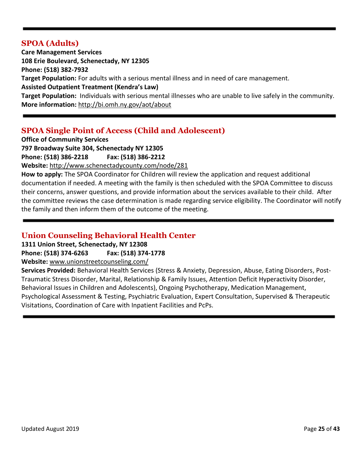#### **SPOA (Adults)**

**Care Management Services 108 Erie Boulevard, Schenectady, NY 12305 Phone: (518) 382-7932 Target Population:** For adults with a serious mental illness and in need of care management. **Assisted Outpatient Treatment (Kendra's Law) Target Population:** Individuals with serious mental illnesses who are unable to live safely in the community. **More information:** <http://bi.omh.ny.gov/aot/about>

# **SPOA Single Point of Access (Child and Adolescent)**

**Office of Community Services 797 Broadway Suite 304, Schenectady NY 12305**

**Phone: (518) 386-2218 Fax: (518) 386-2212**

**Website:** <http://www.schenectadycounty.com/node/281>

**How to apply:** The SPOA Coordinator for Children will review the application and request additional documentation if needed. A meeting with the family is then scheduled with the SPOA Committee to discuss their concerns, answer questions, and provide information about the services available to their child. After the committee reviews the case determination is made regarding service eligibility. The Coordinator will notify the family and then inform them of the outcome of the meeting.

# **Union Counseling Behavioral Health Center**

**1311 Union Street, Schenectady, NY 12308**

**Phone: (518) 374-6263 Fax: (518) 374-1778**

**Website:** [www.unionstreetcounseling.com/](http://www.unionstreetcounseling.com/)

**Services Provided:** Behavioral Health Services (Stress & Anxiety, Depression, Abuse, Eating Disorders, Post-Traumatic Stress Disorder, Marital, Relationship & Family Issues, Attention Deficit Hyperactivity Disorder, Behavioral Issues in Children and Adolescents), Ongoing Psychotherapy, Medication Management, Psychological Assessment & Testing, Psychiatric Evaluation, Expert Consultation, Supervised & Therapeutic Visitations, Coordination of Care with Inpatient Facilities and PcPs.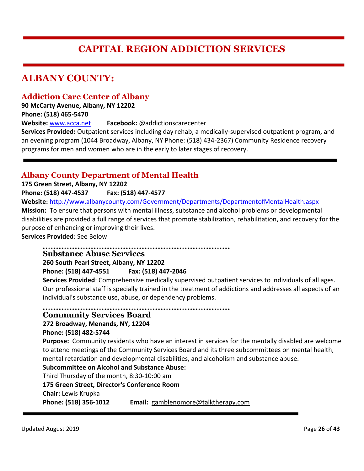# **CAPITAL REGION ADDICTION SERVICES**

# **ALBANY COUNTY:**

### **Addiction Care Center of Albany**

**90 McCarty Avenue, Albany, NY 12202 Phone: (518) 465-5470** 

**Website:** [www.acca.net](http://www.acca.net/) **Facebook:** @addictionscarecenter

**Services Provided:** Outpatient services including day rehab, a medically-supervised outpatient program, and an evening program (1044 Broadway, Albany, NY Phone: (518) 434-2367) Community Residence recovery programs for men and women who are in the early to later stages of recovery.

### **Albany County Department of Mental Health**

**175 Green Street, Albany, NY 12202**

**Phone: (518) 447-4537 Fax: (518) 447-4577**

**Website:** <http://www.albanycounty.com/Government/Departments/DepartmentofMentalHealth.aspx> **Mission:** To ensure that persons with mental illness, substance and alcohol problems or developmental

disabilities are provided a full range of services that promote stabilization, rehabilitation, and recovery for the purpose of enhancing or improving their lives.

**Services Provided**: See Below

**Substance Abuse Services 260 South Pearl Street, Albany, NY 12202**

**Phone: (518) 447-4551 Fax: (518) 447-2046**

**Services Provided**: Comprehensive medically supervised outpatient services to individuals of all ages. Our professional staff is specially trained in the treatment of addictions and addresses all aspects of an individual's substance use, abuse, or dependency problems.

# **Community Services Board**

#### **272 Broadway, Menands, NY, 12204**

#### **Phone: (518) 482-5744**

**Purpose:** Community residents who have an interest in services for the mentally disabled are welcome to attend meetings of the Community Services Board and its three subcommittees on mental health, mental retardation and developmental disabilities, and alcoholism and substance abuse.

#### **Subcommittee on Alcohol and Substance Abuse:**

Third Thursday of the month, 8:30-10:00 am

#### **175 Green Street, Director's Conference Room**

**Chair:** Lewis Krupka

**Phone: (518) 356-1012 Email:** [gamblenomore@talktherapy.com](mailto:gamblenomore@talktherapy.com)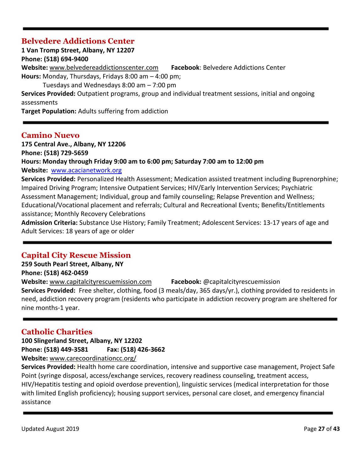### **Belvedere Addictions Center**

**1 Van Tromp Street, Albany, NY 12207 Phone: (518) 694-9400 Website:** [www.belvedereaddictionscenter.com](http://www.belvedereaddictionscenter.com/) **Facebook**: Belvedere Addictions Center **Hours:** Monday, Thursdays, Fridays 8:00 am – 4:00 pm; Tuesdays and Wednesdays 8:00 am – 7:00 pm **Services Provided:** Outpatient programs, group and individual treatment sessions, initial and ongoing assessments **Target Population:** Adults suffering from addiction

#### **Camino Nuevo**

**175 Central Ave., Albany, NY 12206 Phone: (518) 729-5659 Hours: Monday through Friday 9:00 am to 6:00 pm; Saturday 7:00 am to 12:00 pm Website:** [www.acacianetwork.org](http://www.acacianetwork.org/) **Services Provided:** Personalized Health Assessment; Medication assisted treatment including Buprenorphine;

Impaired Driving Program; Intensive Outpatient Services; HIV/Early Intervention Services; Psychiatric Assessment Management; Individual, group and family counseling; Relapse Prevention and Wellness; Educational/Vocational placement and referrals; Cultural and Recreational Events; Benefits/Entitlements assistance; Monthly Recovery Celebrations

**Admission Criteria:** Substance Use History; Family Treatment; Adolescent Services: 13-17 years of age and Adult Services: 18 years of age or older

# **Capital City Rescue Mission**

**259 South Pearl Street, Albany, NY Phone: (518) 462-0459**

**Website:** [www.capitalcityrescuemission.com](http://www.capitalcityrescuemission.com/) **Facebook:** @capitalcityrescuemission

**Services Provided:** Free shelter, clothing, food (3 meals/day, 365 days/yr.), clothing provided to residents in need, addiction recovery program (residents who participate in addiction recovery program are sheltered for nine months-1 year.

# **Catholic Charities**

**100 Slingerland Street, Albany, NY 12202 Phone: (518) 449-3581 Fax: (518) 426-3662 Website:** [www.carecoordinationcc.org/](http://www.carecoordinationcc.org/)

**Services Provided:** Health home care coordination, intensive and supportive case management, Project Safe Point (syringe disposal, access/exchange services, recovery readiness counseling, treatment access, HIV/Hepatitis testing and opioid overdose prevention), linguistic services (medical interpretation for those with limited English proficiency); housing support services, personal care closet, and emergency financial assistance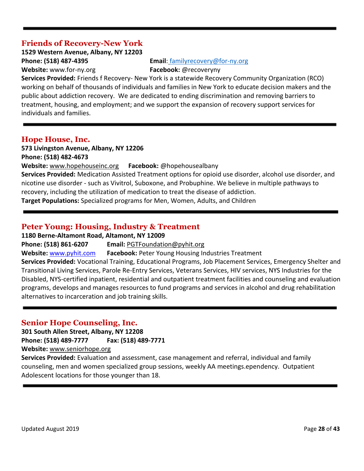# **Friends of Recovery-New York**

**1529 Western Avenue, Albany, NY 12203 Phone: (518) 487-4395 Email**: [familyrecovery@for-ny.org](mailto:familyrecovery@for-ny.org) **Website:** [www.for-ny.org](http://www.for-ny.org/) **Facebook:** @recoveryny

**Services Provided:** Friends f Recovery- New York is a statewide Recovery Community Organization (RCO) working on behalf of thousands of individuals and families in New York to educate decision makers and the public about addiction recovery. We are dedicated to ending discrimination and removing barriers to treatment, housing, and employment; and we support the expansion of recovery support services for individuals and families.

#### **Hope House, Inc.**

**573 Livingston Avenue, Albany, NY 12206 Phone: (518) 482-4673**

**Website:** [www.hopehouseinc.org](http://www.hopehouseinc.org/) **Facebook:** @hopehousealbany

**Services Provided:** Medication Assisted Treatment options for opioid use disorder, alcohol use disorder, and nicotine use disorder - such as Vivitrol, Suboxone, and Probuphine. We believe in multiple pathways to recovery, including the utilization of medication to treat the disease of addiction.

**Target Populations:** Specialized programs for Men, Women, Adults, and Children

#### **Peter Young: Housing, Industry & Treatment**

**1180 Berne-Altamont Road, Altamont, NY 12009**

**Phone: (518) 861-6207 Email:** [PGTFoundation@pyhit.org](mailto:PGTFoundation@pyhit.org)

**Website:** [www.pyhit.com](http://www.pyhit.com/) **Facebook:** Peter Young Housing Industries Treatment

**Services Provided:** Vocational Training, Educational Programs, Job Placement Services, Emergency Shelter and Transitional Living Services, Parole Re-Entry Services, Veterans Services, HIV services, NYS Industries for the Disabled, NYS-certified inpatient, residential and outpatient treatment facilities and counseling and evaluation programs, develops and manages resources to fund programs and services in alcohol and drug rehabilitation alternatives to incarceration and job training skills.

### **Senior Hope Counseling, Inc.**

**301 South Allen Street, Albany, NY 12208 Phone: (518) 489-7777 Fax: (518) 489-7771** 

**Website:** [www.seniorhope.org](http://www.seniorhope.org/)

**Services Provided:** Evaluation and assessment, case management and referral, individual and family counseling, men and women specialized group sessions, weekly AA meetings.ependency. Outpatient Adolescent locations for those younger than 18.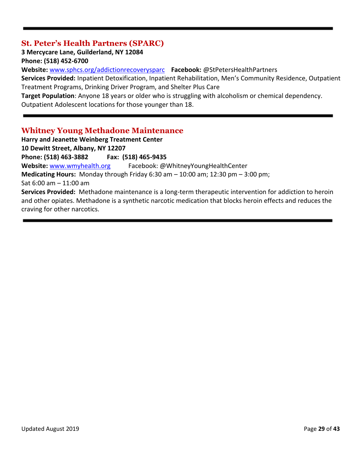## **St. Peter's Health Partners (SPARC)**

**3 Mercycare Lane, Guilderland, NY 12084**

**Phone: (518) 452-6700**

**Website:** [www.sphcs.org/addictionrecoverysparc](http://www.sphcs.org/addictionrecoverysparc) **Facebook:** @StPetersHealthPartners

**Services Provided:** Inpatient Detoxification, Inpatient Rehabilitation, Men's Community Residence, Outpatient Treatment Programs, Drinking Driver Program, and Shelter Plus Care

**Target Population**: Anyone 18 years or older who is struggling with alcoholism or chemical dependency. Outpatient Adolescent locations for those younger than 18.

### **Whitney Young Methadone Maintenance**

**Harry and Jeanette Weinberg Treatment Center 10 Dewitt Street, Albany, NY 12207 Phone: (518) 463-3882 Fax: (518) 465-9435 Website:** [www.wmyhealth.org](http://www.wmyhealth.org/) Facebook: @WhitneyYoungHealthCenter **Medicating Hours:** Monday through Friday 6:30 am – 10:00 am; 12:30 pm – 3:00 pm; Sat 6:00 am – 11:00 am **Services Provided:** Methadone maintenance is a long-term therapeutic intervention for addiction to heroin and other opiates. Methadone is a synthetic narcotic medication that blocks heroin effects and reduces the craving for other narcotics.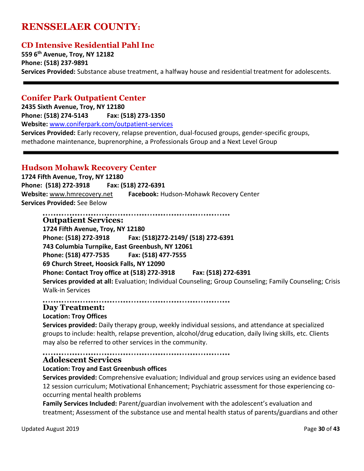# **RENSSELAER COUNTY:**

### **CD Intensive Residential Pahl Inc**

**559 6th Avenue, Troy, NY 12182 Phone: (518) 237-9891 Services Provided:** Substance abuse treatment, a halfway house and residential treatment for adolescents.

#### **Conifer Park Outpatient Center**

**2435 Sixth Avenue, Troy, NY 12180 Phone: (518) 274-5143 Fax: (518) 273-1350 Website:** [www.coniferpark.com/outpatient-services](http://www.coniferpark.com/outpatient-services) **Services Provided:** Early recovery, relapse prevention, dual-focused groups, gender-specific groups, methadone maintenance, buprenorphine, a Professionals Group and a Next Level Group

#### **Hudson Mohawk Recovery Center**

**1724 Fifth Avenue, Troy, NY 12180 Phone: (518) 272-3918 Fax: (518) 272-6391 Website:** [www.hmrecovery.net](http://www.hmrecovery.net/) **Facebook:** Hudson-Mohawk Recovery Center **Services Provided:** See Below

..................................... **Outpatient Services: 1724 Fifth Avenue, Troy, NY 12180 Phone: (518) 272-3918 Fax: (518)272-2149/ (518) 272-6391 743 Columbia Turnpike, East Greenbush, NY 12061 Phone: (518) 477-7535 Fax: (518) 477-7555 69 Church Street, Hoosick Falls, NY 12090 Phone: Contact Troy office at (518) 272-3918 Fax: (518) 272-6391 Services provided at all:** Evaluation; Individual Counseling; Group Counseling; Family Counseling; Crisis Walk-in Services

**Day Treatment:**

#### **Location: Troy Offices**

**Services provided:** Daily therapy group, weekly individual sessions, and attendance at specialized groups to include: health, relapse prevention, alcohol/drug education, daily living skills, etc. Clients may also be referred to other services in the community.

#### 

#### **Adolescent Services**

#### **Location: Troy and East Greenbush offices**

**Services provided:** Comprehensive evaluation; Individual and group services using an evidence based 12 session curriculum; Motivational Enhancement; Psychiatric assessment for those experiencing cooccurring mental health problems

**Family Services Included:** Parent/guardian involvement with the adolescent's evaluation and treatment; Assessment of the substance use and mental health status of parents/guardians and other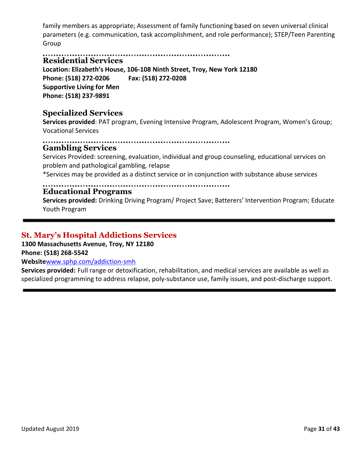family members as appropriate; Assessment of family functioning based on seven universal clinical parameters (e.g. communication, task accomplishment, and role performance); STEP/Teen Parenting Group

**Residential Services**

**Location: Elizabeth's House, 106-108 Ninth Street, Troy, New York 12180 Phone: (518) 272-0206 Fax: (518) 272-0208 Supportive Living for Men Phone: (518) 237-9891**

## **Specialized Services**

**Services provided**: PAT program, Evening Intensive Program, Adolescent Program, Women's Group; Vocational Services

#### 

#### **Gambling Services**

Services Provided: screening, evaluation, individual and group counseling, educational services on problem and pathological gambling, relapse

\*Services may be provided as a distinct service or in conjunction with substance abuse services

#### **Educational Programs**

**Services provided:** Drinking Driving Program/ Project Save; Batterers' Intervention Program; Educate Youth Program

### **St. Mary's Hospital Addictions Services**

#### **1300 Massachusetts Avenue, Troy, NY 12180 Phone: (518) 268-5542**

#### **Website**[www.sphp.com/addiction-smh](http://www.sphp.com/addiction-smh)

**Services provided:** Full range or detoxification, rehabilitation, and medical services are available as well as specialized programming to address relapse, poly-substance use, family issues, and post-discharge support.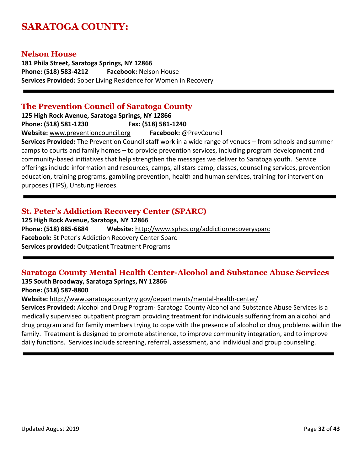# **SARATOGA COUNTY:**

#### **Nelson House**

**181 Phila Street, Saratoga Springs, NY 12866 Phone: (518) 583-4212 Facebook:** Nelson House **Services Provided:** Sober Living Residence for Women in Recovery

#### **The Prevention Council of Saratoga County**

**125 High Rock Avenue, Saratoga Springs, NY 12866 Phone: (518) 581-1230 Fax: (518) 581-1240 Website:** [www.preventioncouncil.org](http://www.preventioncouncil.org/) **Facebook:** @PrevCouncil **Services Provided:** The Prevention Council staff work in a wide range of venues – from schools and summer camps to courts and family homes – to provide prevention services, including program development and community-based initiatives that help strengthen the messages we deliver to Saratoga youth. Service

offerings include information and resources, camps, all stars camp, classes, counseling services, prevention education, training programs, gambling prevention, health and human services, training for intervention purposes (TIPS), Unstung Heroes.

## **St. Peter's Addiction Recovery Center (SPARC)**

**125 High Rock Avenue, Saratoga, NY 12866 Phone: (518) 885-6884 Website:** <http://www.sphcs.org/addictionrecoverysparc> **Facebook:** St Peter's Addiction Recovery Center Sparc **Services provided:** Outpatient Treatment Programs

# **Saratoga County Mental Health Center-Alcohol and Substance Abuse Services**

# **135 South Broadway, Saratoga Springs, NY 12866**

**Phone: (518) 587-8800**

**Website:** <http://www.saratogacountyny.gov/departments/mental-health-center/>

**Services Provided:** Alcohol and Drug Program- Saratoga County Alcohol and Substance Abuse Services is a medically supervised outpatient program providing treatment for individuals suffering from an alcohol and drug program and for family members trying to cope with the presence of alcohol or drug problems within the family. Treatment is designed to promote abstinence, to improve community integration, and to improve daily functions. Services include screening, referral, assessment, and individual and group counseling.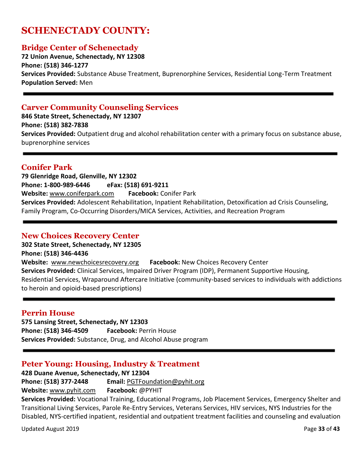# **SCHENECTADY COUNTY:**

#### **Bridge Center of Schenectady**

**72 Union Avenue, Schenectady, NY 12308 Phone: (518) 346-1277 Services Provided:** Substance Abuse Treatment, Buprenorphine Services, Residential Long-Term Treatment **Population Served:** Men

#### **Carver Community Counseling Services**

**846 State Street, Schenectady, NY 12307 Phone: (518) 382-7838 Services Provided:** Outpatient drug and alcohol rehabilitation center with a primary focus on substance abuse, buprenorphine services

#### **Conifer Park**

**79 Glenridge Road, Glenville, NY 12302 Phone: 1-800-989-6446 eFax: (518) 691-9211 Website:** [www.coniferpark.com](http://www.coniferpark.com/) **Facebook:** Conifer Park **Services Provided:** Adolescent Rehabilitation, Inpatient Rehabilitation, Detoxification ad Crisis Counseling, Family Program, Co-Occurring Disorders/MICA Services, Activities, and Recreation Program

#### **New Choices Recovery Center**

#### **302 State Street, Schenectady, NY 12305 Phone: (518) 346-4436**

**Website:** [www.newchoicesrecovery.org](http://www.newchoicesrecovery.org/) **Facebook:** New Choices Recovery Center **Services Provided:** Clinical Services, Impaired Driver Program (IDP), Permanent Supportive Housing, Residential Services, Wraparound Aftercare Initiative (community-based services to individuals with addictions to heroin and opioid-based prescriptions)

#### **Perrin House**

**575 Lansing Street, Schenectady, NY 12303 Phone: (518) 346-4509 Facebook:** Perrin House **Services Provided:** Substance, Drug, and Alcohol Abuse program

#### **Peter Young: Housing, Industry & Treatment**

**428 Duane Avenue, Schenectady, NY 12304**

**Phone: (518) 377-2448 Email:** [PGTFoundation@pyhit.org](mailto:PGTFoundation@pyhit.org)

**Website:** [www.pyhit.com](http://www.pyhit.com/) **Facebook:** @PYHIT

**Services Provided:** Vocational Training, Educational Programs, Job Placement Services, Emergency Shelter and Transitional Living Services, Parole Re-Entry Services, Veterans Services, HIV services, NYS Industries for the Disabled, NYS-certified inpatient, residential and outpatient treatment facilities and counseling and evaluation

Updated August 2019 **Page 33** of **43**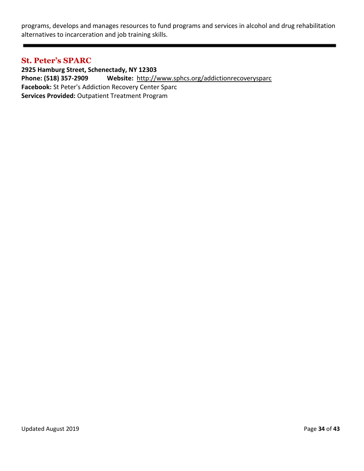programs, develops and manages resources to fund programs and services in alcohol and drug rehabilitation alternatives to incarceration and job training skills.

#### **St. Peter's SPARC**

**2925 Hamburg Street, Schenectady, NY 12303 Phone: (518) 357-2909 Website:** <http://www.sphcs.org/addictionrecoverysparc> **Facebook:** St Peter's Addiction Recovery Center Sparc **Services Provided:** Outpatient Treatment Program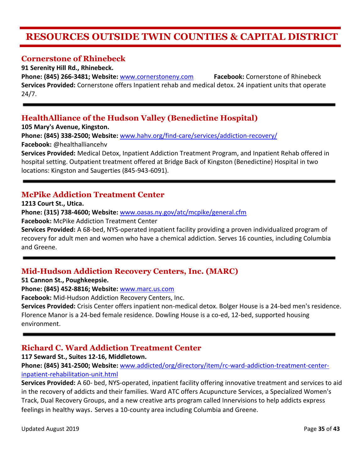# **RESOURCES OUTSIDE TWIN COUNTIES & CAPITAL DISTRICT**

#### **Cornerstone of Rhinebeck**

**91 Serenity Hill Rd., Rhinebeck.**

**Phone: (845) 266-3481; Website:** [www.cornerstoneny.com](http://www.cornerstoneny.com/) **Facebook:** Cornerstone of Rhinebeck **Services Provided:** Cornerstone offers Inpatient rehab and medical detox. 24 inpatient units that operate 24/7.

## **HealthAlliance of the Hudson Valley (Benedictine Hospital)**

**105 Mary's Avenue, Kingston.** 

**Phone: (845) 338-2500; Website:** [www.hahv.org/find-care/services/addiction-recovery/](http://www.hahv.org/find-care/services/addiction-recovery/) **Facebook:** @healthalliancehv

**Services Provided:** Medical Detox, Inpatient Addiction Treatment Program, and Inpatient Rehab offered in hospital setting. Outpatient treatment offered at Bridge Back of Kingston (Benedictine) Hospital in two locations: Kingston and Saugerties (845-943-6091).

## **McPike Addiction Treatment Center**

**1213 Court St., Utica.**

**Phone: (315) 738-4600; Website:** [www.oasas.ny.gov/atc/mcpike/general.cfm](http://www.oasas.ny.gov/atc/mcpike/general.cfm)

**Facebook:** McPike Addiction Treatment Center

**Services Provided:** A 68-bed, NYS-operated inpatient facility providing a proven individualized program of recovery for adult men and women who have a chemical addiction. Serves 16 counties, including Columbia and Greene.

# **Mid-Hudson Addiction Recovery Centers, Inc. (MARC)**

**51 Cannon St., Poughkeepsie.** 

**Phone: (845) 452-8816; Website:** [www.marc.us.com](http://www.marc.us.com/)

**Facebook:** Mid-Hudson Addiction Recovery Centers, Inc.

**Services Provided:** Crisis Center offers inpatient non-medical detox. Bolger House is a 24-bed men's residence. Florence Manor is a 24-bed female residence. Dowling House is a co-ed, 12-bed, supported housing environment.

# **Richard C. Ward Addiction Treatment Center**

**117 Seward St., Suites 12-16, Middletown.** 

**Phone: (845) 341-2500; Website:** [www.addicted/org/directory/item/rc-ward-addiction-treatment-center](http://www.addicted/org/directory/item/rc-ward-addiction-treatment-center-inpatient-rehabilitation-unit.html)[inpatient-rehabilitation-unit.html](http://www.addicted/org/directory/item/rc-ward-addiction-treatment-center-inpatient-rehabilitation-unit.html)

**Services Provided:** A 60- bed, NYS-operated, inpatient facility offering innovative treatment and services to aid in the recovery of addicts and their families. Ward ATC offers Acupuncture Services, a Specialized Women's Track, Dual Recovery Groups, and a new creative arts program called Innervisions to help addicts express feelings in healthy ways. Serves a 10-county area including Columbia and Greene.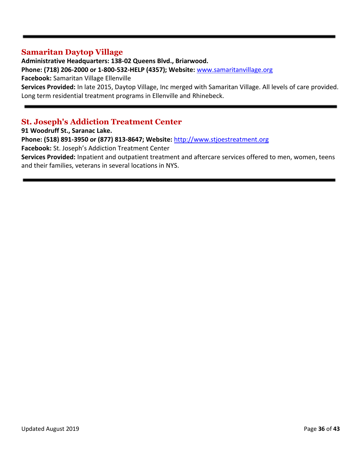#### **Samaritan Daytop Village**

**Administrative Headquarters: 138-02 Queens Blvd., Briarwood. Phone: (718) 206-2000 or 1-800-532-HELP (4357); Website:** [www.samaritanvillage.org](http://www.samaritanvillage.org/) **Facebook:** Samaritan Village Ellenville **Services Provided:** In late 2015, Daytop Village, Inc merged with Samaritan Village. All levels of care provided. Long term residential treatment programs in Ellenville and Rhinebeck.

# **St. Joseph's Addiction Treatment Center**

**91 Woodruff St., Saranac Lake.** 

**Phone: (518) 891-3950 or (877) 813-8647; Website:** [http://www.stjoestreatment.org](http://www.stjoestreatment.org/)

**Facebook:** St. Joseph's Addiction Treatment Center

**Services Provided:** Inpatient and outpatient treatment and aftercare services offered to men, women, teens and their families, veterans in several locations in NYS.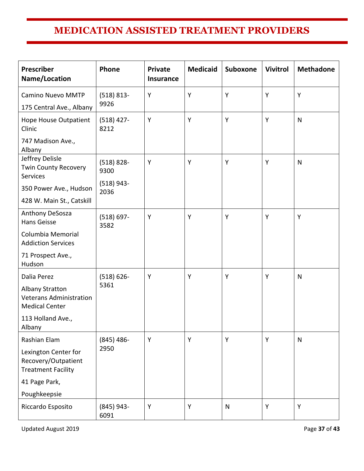# **MEDICATION ASSISTED TREATMENT PROVIDERS**

| Prescriber<br>Name/Location                                                       | Phone                 | <b>Private</b><br><b>Insurance</b> | <b>Medicaid</b> | <b>Suboxone</b> | <b>Vivitrol</b> | <b>Methadone</b> |
|-----------------------------------------------------------------------------------|-----------------------|------------------------------------|-----------------|-----------------|-----------------|------------------|
| <b>Camino Nuevo MMTP</b><br>175 Central Ave., Albany                              | $(518) 813 -$<br>9926 | Y                                  | Y               | Y               | Y               | Y                |
| Hope House Outpatient<br>Clinic                                                   | $(518)$ 427-<br>8212  | Υ                                  | Y               | Y               | Y               | $\mathsf{N}$     |
| 747 Madison Ave.,<br>Albany                                                       |                       |                                    |                 |                 |                 |                  |
| Jeffrey Delisle<br><b>Twin County Recovery</b><br>Services                        | $(518) 828 -$<br>9300 | Y                                  | Y               | Y               | Y               | $\mathsf{N}$     |
| 350 Power Ave., Hudson                                                            | $(518)$ 943-<br>2036  |                                    |                 |                 |                 |                  |
| 428 W. Main St., Catskill                                                         |                       |                                    |                 |                 |                 |                  |
| Anthony DeSosza<br>Hans Geisse                                                    | $(518) 697 -$<br>3582 | Y                                  | Y               | Y               | Y               | Y                |
| Columbia Memorial<br><b>Addiction Services</b>                                    |                       |                                    |                 |                 |                 |                  |
| 71 Prospect Ave.,<br>Hudson                                                       |                       |                                    |                 |                 |                 |                  |
| Dalia Perez                                                                       | $(518) 626 -$         | Y                                  | Y               | Y               | Y               | $\mathsf{N}$     |
| <b>Albany Stratton</b><br><b>Veterans Administration</b><br><b>Medical Center</b> | 5361                  |                                    |                 |                 |                 |                  |
| 113 Holland Ave.,<br>Albany                                                       |                       |                                    |                 |                 |                 |                  |
| Rashian Elam                                                                      | $(845)$ 486-          | Υ                                  | Y               | Υ               | Y               | $\mathsf{N}$     |
| Lexington Center for<br>Recovery/Outpatient<br><b>Treatment Facility</b>          | 2950                  |                                    |                 |                 |                 |                  |
| 41 Page Park,                                                                     |                       |                                    |                 |                 |                 |                  |
| Poughkeepsie                                                                      |                       |                                    |                 |                 |                 |                  |
| Riccardo Esposito                                                                 | $(845)$ 943-<br>6091  | Y                                  | Y               | $\mathsf{N}$    | Y               | Υ                |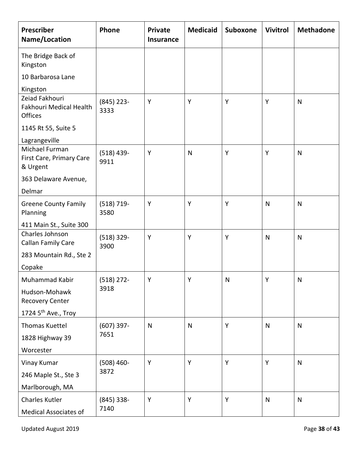| Prescriber<br>Name/Location                                        | Phone                | <b>Private</b><br><b>Insurance</b> | <b>Medicaid</b> | Suboxone     | <b>Vivitrol</b> | <b>Methadone</b> |
|--------------------------------------------------------------------|----------------------|------------------------------------|-----------------|--------------|-----------------|------------------|
| The Bridge Back of<br>Kingston                                     |                      |                                    |                 |              |                 |                  |
| 10 Barbarosa Lane                                                  |                      |                                    |                 |              |                 |                  |
| Kingston                                                           |                      |                                    |                 |              |                 |                  |
| Zeiad Fakhouri<br><b>Fakhouri Medical Health</b><br><b>Offices</b> | $(845)$ 223-<br>3333 | Y                                  | Y               | Y            | Y               | $\mathsf{N}$     |
| 1145 Rt 55, Suite 5                                                |                      |                                    |                 |              |                 |                  |
| Lagrangeville                                                      |                      |                                    |                 |              |                 |                  |
| Michael Furman<br>First Care, Primary Care<br>& Urgent             | $(518)$ 439-<br>9911 | Y                                  | $\mathsf{N}$    | Y            | Y               | $\mathsf{N}$     |
| 363 Delaware Avenue,                                               |                      |                                    |                 |              |                 |                  |
| Delmar                                                             |                      |                                    |                 |              |                 |                  |
| <b>Greene County Family</b><br>Planning                            | $(518) 719-$<br>3580 | Y                                  | Y               | Y            | $\mathsf{N}$    | $\mathsf{N}$     |
| 411 Main St., Suite 300                                            |                      |                                    |                 |              |                 |                  |
| Charles Johnson<br>Callan Family Care                              | $(518)$ 329-<br>3900 | Y                                  | Y               | Y            | $\mathsf{N}$    | $\mathsf{N}$     |
| 283 Mountain Rd., Ste 2                                            |                      |                                    |                 |              |                 |                  |
| Copake                                                             |                      |                                    |                 |              |                 |                  |
| Muhammad Kabir                                                     | $(518)$ 272-<br>3918 | Y                                  | Y               | $\mathsf{N}$ | Y               | $\mathsf{N}$     |
| Hudson-Mohawk<br>Recovery Center                                   |                      |                                    |                 |              |                 |                  |
| 1724 5 <sup>th</sup> Ave., Troy                                    |                      |                                    |                 |              |                 |                  |
| Thomas Kuettel                                                     | $(607)$ 397-<br>7651 | $\mathsf{N}$                       | $\mathsf{N}$    | Y            | $\mathsf{N}$    | $\mathsf{N}$     |
| 1828 Highway 39                                                    |                      |                                    |                 |              |                 |                  |
| Worcester                                                          |                      |                                    |                 |              |                 |                  |
| Vinay Kumar                                                        | $(508)$ 460-         | Y                                  | Y               | Y            | Y               | $\mathsf{N}$     |
| 246 Maple St., Ste 3                                               | 3872                 |                                    |                 |              |                 |                  |
| Marlborough, MA                                                    |                      |                                    |                 |              |                 |                  |
| Charles Kutler                                                     | $(845)$ 338-<br>7140 | Y                                  | Y               | Y            | $\mathsf{N}$    | $\mathsf{N}$     |
| Medical Associates of                                              |                      |                                    |                 |              |                 |                  |

Updated August 2019 **Page 38** of **43**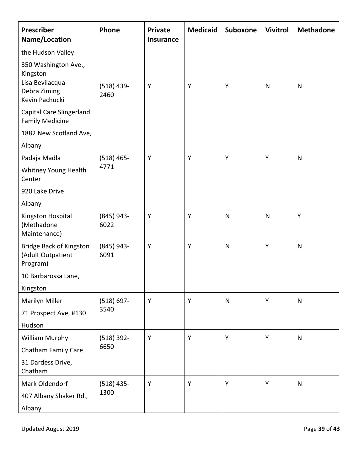| Prescriber<br>Name/Location                              | Phone                | <b>Private</b><br><b>Insurance</b> | <b>Medicaid</b> | Suboxone     | <b>Vivitrol</b> | <b>Methadone</b> |
|----------------------------------------------------------|----------------------|------------------------------------|-----------------|--------------|-----------------|------------------|
| the Hudson Valley                                        |                      |                                    |                 |              |                 |                  |
| 350 Washington Ave.,<br>Kingston                         |                      |                                    |                 |              |                 |                  |
| Lisa Bevilacqua<br>Debra Ziming<br>Kevin Pachucki        | $(518)$ 439-<br>2460 | Y                                  | Y               | Υ            | $\mathsf{N}$    | $\mathsf{N}$     |
| Capital Care Slingerland<br><b>Family Medicine</b>       |                      |                                    |                 |              |                 |                  |
| 1882 New Scotland Ave,                                   |                      |                                    |                 |              |                 |                  |
| Albany                                                   |                      |                                    |                 |              |                 |                  |
| Padaja Madla                                             | $(518)$ 465-         | Y                                  | Y               | Y            | Y               | $\mathsf{N}$     |
| Whitney Young Health<br>Center                           | 4771                 |                                    |                 |              |                 |                  |
| 920 Lake Drive                                           |                      |                                    |                 |              |                 |                  |
| Albany                                                   |                      |                                    |                 |              |                 |                  |
| Kingston Hospital<br>(Methadone<br>Maintenance)          | $(845)$ 943-<br>6022 | Y                                  | Y               | $\mathsf{N}$ | $\mathsf{N}$    | Y                |
| Bridge Back of Kingston<br>(Adult Outpatient<br>Program) | $(845)$ 943-<br>6091 | Y                                  | Y               | $\mathsf{N}$ | Y               | $\mathsf{N}$     |
| 10 Barbarossa Lane,                                      |                      |                                    |                 |              |                 |                  |
| Kingston                                                 |                      |                                    |                 |              |                 |                  |
| Marilyn Miller                                           | $(518) 697 -$        | Y                                  | Y               | $\mathsf{N}$ | Y               | $\mathsf{N}$     |
| 71 Prospect Ave, #130                                    | 3540                 |                                    |                 |              |                 |                  |
| Hudson                                                   |                      |                                    |                 |              |                 |                  |
| <b>William Murphy</b>                                    | $(518) 392 -$        | Y                                  | Y               | Y            | Y               | $\mathsf{N}$     |
| Chatham Family Care                                      | 6650                 |                                    |                 |              |                 |                  |
| 31 Dardess Drive,<br>Chatham                             |                      |                                    |                 |              |                 |                  |
| Mark Oldendorf                                           | $(518)$ 435-         | Y                                  | Y               | Y            | Y               | $\mathsf{N}$     |
| 407 Albany Shaker Rd.,                                   | 1300                 |                                    |                 |              |                 |                  |
| Albany                                                   |                      |                                    |                 |              |                 |                  |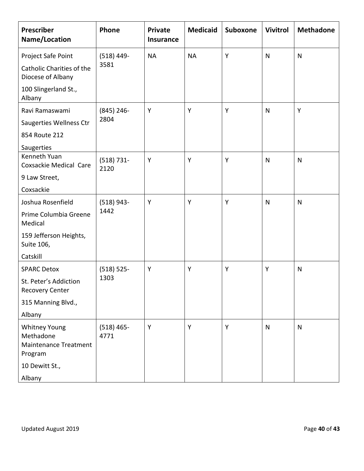| Prescriber<br>Name/Location                                                  | Phone                 | <b>Private</b><br><b>Insurance</b> | <b>Medicaid</b> | Suboxone | <b>Vivitrol</b> | <b>Methadone</b> |
|------------------------------------------------------------------------------|-----------------------|------------------------------------|-----------------|----------|-----------------|------------------|
| Project Safe Point                                                           | $(518)$ 449-<br>3581  | <b>NA</b>                          | <b>NA</b>       | Y        | $\mathsf{N}$    | $\mathsf{N}$     |
| Catholic Charities of the<br>Diocese of Albany                               |                       |                                    |                 |          |                 |                  |
| 100 Slingerland St.,<br>Albany                                               |                       |                                    |                 |          |                 |                  |
| Ravi Ramaswami                                                               | $(845)$ 246-<br>2804  | Y                                  | Y               | Y        | N               | Y                |
| Saugerties Wellness Ctr                                                      |                       |                                    |                 |          |                 |                  |
| 854 Route 212                                                                |                       |                                    |                 |          |                 |                  |
| Saugerties<br>Kenneth Yuan                                                   |                       |                                    |                 |          |                 |                  |
| Coxsackie Medical Care                                                       | $(518) 731 -$<br>2120 | Y                                  | Y               | Y        | $\mathsf{N}$    | N                |
| 9 Law Street,                                                                |                       |                                    |                 |          |                 |                  |
| Coxsackie                                                                    |                       |                                    |                 |          |                 |                  |
| Joshua Rosenfield                                                            | $(518)$ 943-          | Y                                  | Y               | Y        | $\mathsf{N}$    | N                |
| Prime Columbia Greene<br>Medical                                             | 1442                  |                                    |                 |          |                 |                  |
| 159 Jefferson Heights,<br>Suite 106,                                         |                       |                                    |                 |          |                 |                  |
| Catskill                                                                     |                       |                                    |                 |          |                 |                  |
| <b>SPARC Detox</b>                                                           | $(518) 525 -$<br>1303 | Y                                  | Y               | Y        | Υ               | N                |
| St. Peter's Addiction<br><b>Recovery Center</b>                              |                       |                                    |                 |          |                 |                  |
| 315 Manning Blvd.,                                                           |                       |                                    |                 |          |                 |                  |
| Albany                                                                       |                       |                                    |                 |          |                 |                  |
| <b>Whitney Young</b><br>Methadone<br><b>Maintenance Treatment</b><br>Program | $(518)$ 465-<br>4771  | Y                                  | Y               | Y        | ${\sf N}$       | $\mathsf{N}$     |
| 10 Dewitt St.,                                                               |                       |                                    |                 |          |                 |                  |
| Albany                                                                       |                       |                                    |                 |          |                 |                  |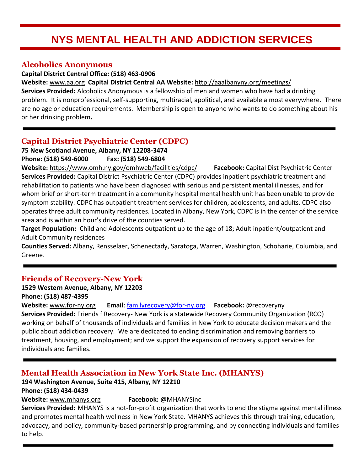# **NYS MENTAL HEALTH AND ADDICTION SERVICES**

# **Alcoholics Anonymous**

**Capital District Central Office: (518) 463-0906**

**Website:** [www.aa.org](http://www.aa.org/) **Capital District Central AA Website:** <http://aaalbanyny.org/meetings/>

**Services Provided:** Alcoholics Anonymous is a fellowship of men and women who have had a drinking problem. It is nonprofessional, self-supporting, multiracial, apolitical, and available almost everywhere. There are no age or education requirements. Membership is open to anyone who wants to do something about his or her drinking problem**.**

# **Capital District Psychiatric Center (CDPC)**

**75 New Scotland Avenue, Albany, NY 12208-3474 Phone: (518) 549-6000 Fax: (518) 549-6804**

**Website:** <https://www.omh.ny.gov/omhweb/facilities/cdpc/> **Facebook:** Capital Dist Psychiatric Center **Services Provided:** Capital District Psychiatric Center (CDPC) provides inpatient psychiatric treatment and rehabilitation to patients who have been diagnosed with serious and persistent mental illnesses, and for whom brief or short-term treatment in a community hospital mental health unit has been unable to provide symptom stability. CDPC has outpatient treatment services for children, adolescents, and adults. CDPC also operates three adult community residences. Located in Albany, New York, CDPC is in the center of the service area and is within an hour's drive of the counties served.

**Target Population:** Child and Adolescents outpatient up to the age of 18; Adult inpatient/outpatient and Adult Community residences

**Counties Served:** Albany, Rensselaer, Schenectady, Saratoga, Warren, Washington, Schoharie, Columbia, and Greene.

# **Friends of Recovery-New York**

**1529 Western Avenue, Albany, NY 12203**

**Phone: (518) 487-4395**

**Website:** [www.for-ny.org](http://www.for-ny.org/) **Email**: [familyrecovery@for-ny.org](mailto:familyrecovery@for-ny.org) **Facebook:** @recoveryny **Services Provided:** Friends f Recovery- New York is a statewide Recovery Community Organization (RCO) working on behalf of thousands of individuals and families in New York to educate decision makers and the public about addiction recovery. We are dedicated to ending discrimination and removing barriers to treatment, housing, and employment; and we support the expansion of recovery support services for individuals and families.

# **Mental Health Association in New York State Inc. (MHANYS)**

#### **194 Washington Avenue, Suite 415, Albany, NY 12210 Phone: (518) 434-0439**

**Website:** [www.mhanys.org](http://www.mhanys.org/) **Facebook:** @MHANYSinc

**Services Provided:** MHANYS is a not-for-profit organization that works to end the stigma against mental illness and promotes mental health wellness in New York State. MHANYS achieves this through training, education, advocacy, and policy, community-based partnership programming, and by connecting individuals and families to help.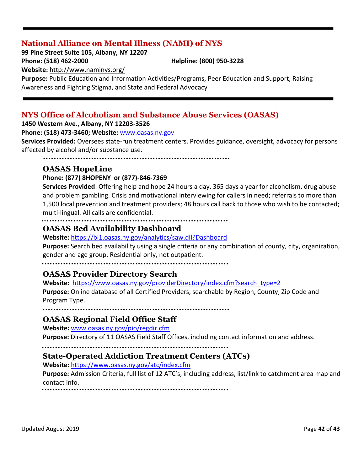# **National Alliance on Mental Illness (NAMI) of NYS**

**99 Pine Street Suite 105, Albany, NY 12207**

**Phone: (518) 462-2000 Helpline: (800) 950-3228**

**Website:** <http://www.naminys.org/>

**Purpose:** Public Education and Information Activities/Programs, Peer Education and Support, Raising Awareness and Fighting Stigma, and State and Federal Advocacy

# **NYS Office of Alcoholism and Substance Abuse Services (OASAS)**

**1450 Western Ave., Albany, NY 12203-3526**

#### **Phone: (518) 473-3460; Website:** [www.oasas.ny.gov](http://www.oasas.ny.gov/)

**Services Provided:** Oversees state-run treatment centers. Provides guidance, oversight, advocacy for persons affected by alcohol and/or substance use.

## **OASAS HopeLine**

#### **Phone: (877) 8HOPENY or (877)-846-7369**

**Services Provided**: Offering help and hope 24 hours a day, 365 days a year for alcoholism, drug abuse and problem gambling. Crisis and motivational interviewing for callers in need; referrals to more than 1,500 local prevention and treatment providers; 48 hours call back to those who wish to be contacted; multi-lingual. All calls are confidential.

#### **OASAS Bed Availability Dashboard**

#### **Website:** <https://bi1.oasas.ny.gov/analytics/saw.dll?Dashboard>

**Purpose:** Search bed availability using a single criteria or any combination of county, city, organization, gender and age group. Residential only, not outpatient.

### **OASAS Provider Directory Search**

**Website:** [https://www.oasas.ny.gov/providerDirectory/index.cfm?search\\_type=2](https://www.oasas.ny.gov/providerDirectory/index.cfm?search_type=2)

**Purpose:** Online database of all Certified Providers, searchable by Region, County, Zip Code and Program Type.

### **OASAS Regional Field Office Staff**

**Website:** [www.oasas.ny.gov/pio/regdir.cfm](http://www.oasas.ny.gov/pio/regdir.cfm)

**Purpose:** Directory of 11 OASAS Field Staff Offices, including contact information and address.

### **State-Operated Addiction Treatment Centers (ATCs)**

**Website:** <https://www.oasas.ny.gov/atc/index.cfm>

**Purpose:** Admission Criteria, full list of 12 ATC's, including address, list/link to catchment area map and contact info.